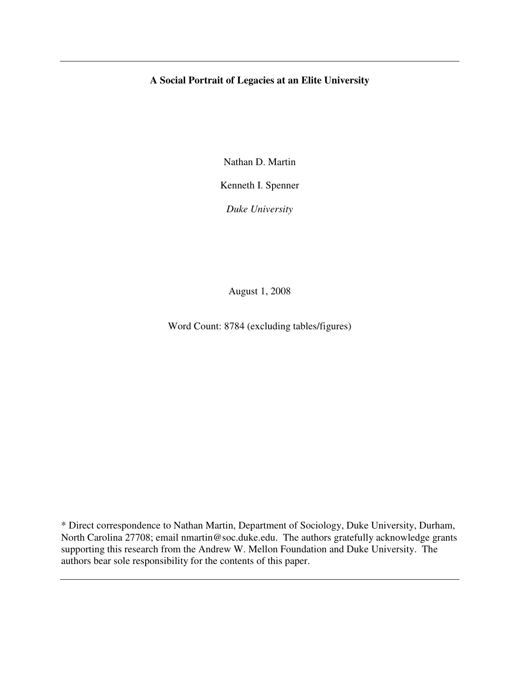## **A Social Portrait of Legacies at an Elite University**

Nathan D. Martin

Kenneth I. Spenner

*Duke University*

August 1, 2008

Word Count: 8784 (excluding tables/figures)

\* Direct correspondence to Nathan Martin, Department of Sociology, Duke University, Durham, North Carolina 27708; email nmartin@soc.duke.edu. The authors gratefully acknowledge grants supporting this research from the Andrew W. Mellon Foundation and Duke University. The authors bear sole responsibility for the contents of this paper.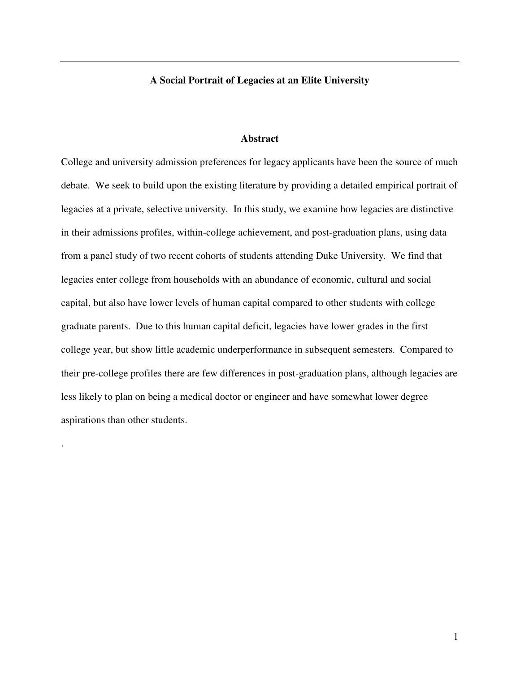## **A Social Portrait of Legacies at an Elite University**

#### **Abstract**

College and university admission preferences for legacy applicants have been the source of much debate. We seek to build upon the existing literature by providing a detailed empirical portrait of legacies at a private, selective university. In this study, we examine how legacies are distinctive in their admissions profiles, within-college achievement, and post-graduation plans, using data from a panel study of two recent cohorts of students attending Duke University. We find that legacies enter college from households with an abundance of economic, cultural and social capital, but also have lower levels of human capital compared to other students with college graduate parents. Due to this human capital deficit, legacies have lower grades in the first college year, but show little academic underperformance in subsequent semesters. Compared to their pre-college profiles there are few differences in post-graduation plans, although legacies are less likely to plan on being a medical doctor or engineer and have somewhat lower degree aspirations than other students.

.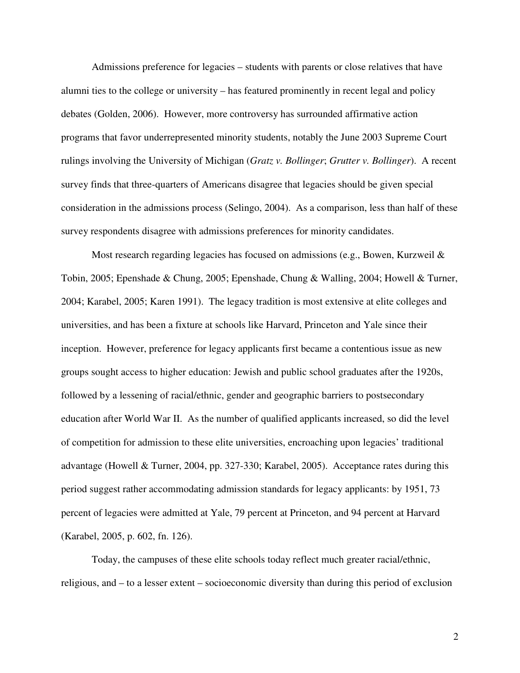Admissions preference for legacies – students with parents or close relatives that have alumni ties to the college or university – has featured prominently in recent legal and policy debates (Golden, 2006). However, more controversy has surrounded affirmative action programs that favor underrepresented minority students, notably the June 2003 Supreme Court rulings involving the University of Michigan (*Gratz v. Bollinger*; *Grutter v. Bollinger*). A recent survey finds that three-quarters of Americans disagree that legacies should be given special consideration in the admissions process (Selingo, 2004). As a comparison, less than half of these survey respondents disagree with admissions preferences for minority candidates.

Most research regarding legacies has focused on admissions (e.g., Bowen, Kurzweil  $\&$ Tobin, 2005; Epenshade & Chung, 2005; Epenshade, Chung & Walling, 2004; Howell & Turner, 2004; Karabel, 2005; Karen 1991). The legacy tradition is most extensive at elite colleges and universities, and has been a fixture at schools like Harvard, Princeton and Yale since their inception. However, preference for legacy applicants first became a contentious issue as new groups sought access to higher education: Jewish and public school graduates after the 1920s, followed by a lessening of racial/ethnic, gender and geographic barriers to postsecondary education after World War II. As the number of qualified applicants increased, so did the level of competition for admission to these elite universities, encroaching upon legacies' traditional advantage (Howell & Turner, 2004, pp. 327-330; Karabel, 2005). Acceptance rates during this period suggest rather accommodating admission standards for legacy applicants: by 1951, 73 percent of legacies were admitted at Yale, 79 percent at Princeton, and 94 percent at Harvard (Karabel, 2005, p. 602, fn. 126).

Today, the campuses of these elite schools today reflect much greater racial/ethnic, religious, and – to a lesser extent – socioeconomic diversity than during this period of exclusion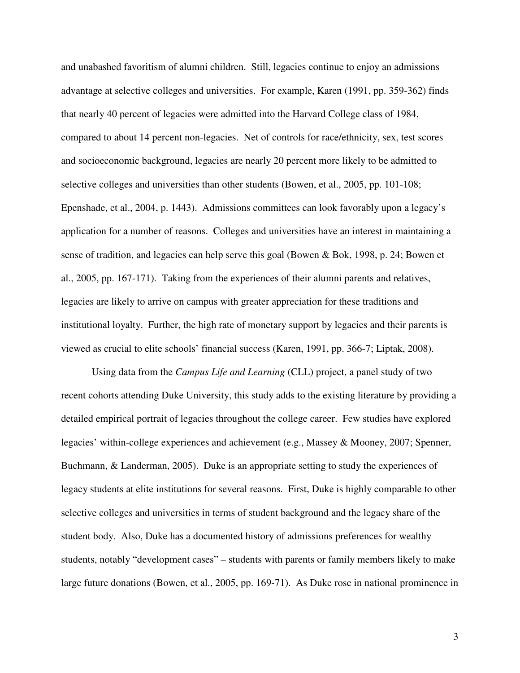and unabashed favoritism of alumni children. Still, legacies continue to enjoy an admissions advantage at selective colleges and universities. For example, Karen (1991, pp. 359-362) finds that nearly 40 percent of legacies were admitted into the Harvard College class of 1984, compared to about 14 percent non-legacies. Net of controls for race/ethnicity, sex, test scores and socioeconomic background, legacies are nearly 20 percent more likely to be admitted to selective colleges and universities than other students (Bowen, et al., 2005, pp. 101-108; Epenshade, et al., 2004, p. 1443). Admissions committees can look favorably upon a legacy's application for a number of reasons. Colleges and universities have an interest in maintaining a sense of tradition, and legacies can help serve this goal (Bowen & Bok, 1998, p. 24; Bowen et al., 2005, pp. 167-171). Taking from the experiences of their alumni parents and relatives, legacies are likely to arrive on campus with greater appreciation for these traditions and institutional loyalty. Further, the high rate of monetary support by legacies and their parents is viewed as crucial to elite schools' financial success (Karen, 1991, pp. 366-7; Liptak, 2008).

Using data from the *Campus Life and Learning* (CLL) project, a panel study of two recent cohorts attending Duke University, this study adds to the existing literature by providing a detailed empirical portrait of legacies throughout the college career. Few studies have explored legacies' within-college experiences and achievement (e.g., Massey & Mooney, 2007; Spenner, Buchmann, & Landerman, 2005). Duke is an appropriate setting to study the experiences of legacy students at elite institutions for several reasons. First, Duke is highly comparable to other selective colleges and universities in terms of student background and the legacy share of the student body. Also, Duke has a documented history of admissions preferences for wealthy students, notably "development cases" – students with parents or family members likely to make large future donations (Bowen, et al., 2005, pp. 169-71). As Duke rose in national prominence in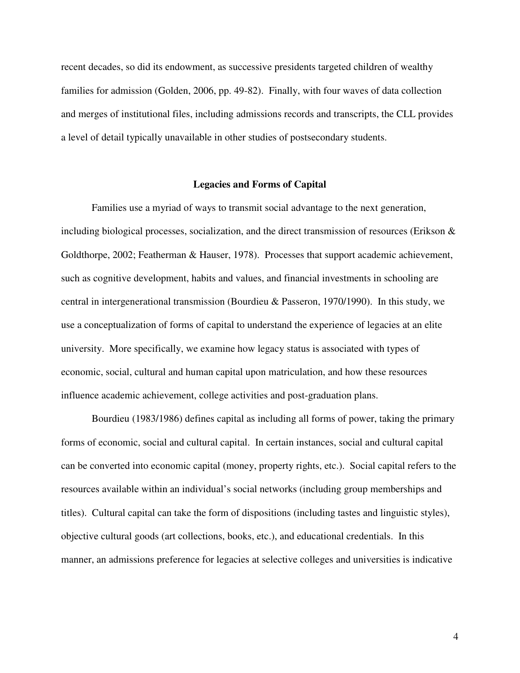recent decades, so did its endowment, as successive presidents targeted children of wealthy families for admission (Golden, 2006, pp. 49-82). Finally, with four waves of data collection and merges of institutional files, including admissions records and transcripts, the CLL provides a level of detail typically unavailable in other studies of postsecondary students.

#### **Legacies and Forms of Capital**

Families use a myriad of ways to transmit social advantage to the next generation, including biological processes, socialization, and the direct transmission of resources (Erikson  $\&$ Goldthorpe, 2002; Featherman & Hauser, 1978). Processes that support academic achievement, such as cognitive development, habits and values, and financial investments in schooling are central in intergenerational transmission (Bourdieu & Passeron, 1970/1990). In this study, we use a conceptualization of forms of capital to understand the experience of legacies at an elite university. More specifically, we examine how legacy status is associated with types of economic, social, cultural and human capital upon matriculation, and how these resources influence academic achievement, college activities and post-graduation plans.

Bourdieu (1983/1986) defines capital as including all forms of power, taking the primary forms of economic, social and cultural capital. In certain instances, social and cultural capital can be converted into economic capital (money, property rights, etc.). Social capital refers to the resources available within an individual's social networks (including group memberships and titles). Cultural capital can take the form of dispositions (including tastes and linguistic styles), objective cultural goods (art collections, books, etc.), and educational credentials. In this manner, an admissions preference for legacies at selective colleges and universities is indicative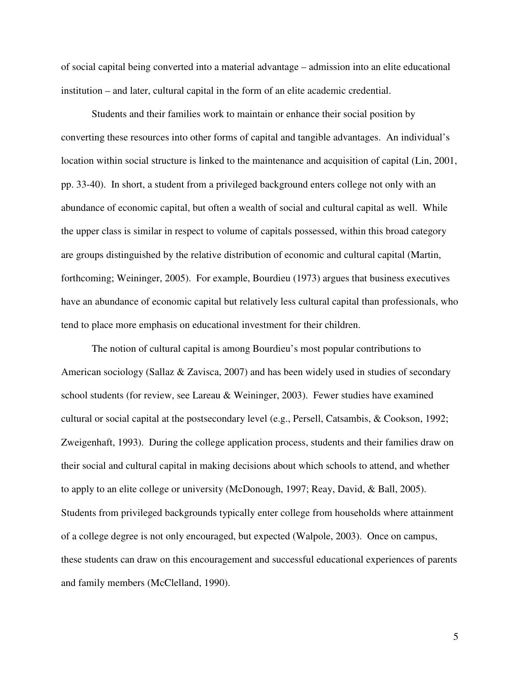of social capital being converted into a material advantage – admission into an elite educational institution – and later, cultural capital in the form of an elite academic credential.

Students and their families work to maintain or enhance their social position by converting these resources into other forms of capital and tangible advantages. An individual's location within social structure is linked to the maintenance and acquisition of capital (Lin, 2001, pp. 33-40). In short, a student from a privileged background enters college not only with an abundance of economic capital, but often a wealth of social and cultural capital as well. While the upper class is similar in respect to volume of capitals possessed, within this broad category are groups distinguished by the relative distribution of economic and cultural capital (Martin, forthcoming; Weininger, 2005). For example, Bourdieu (1973) argues that business executives have an abundance of economic capital but relatively less cultural capital than professionals, who tend to place more emphasis on educational investment for their children.

The notion of cultural capital is among Bourdieu's most popular contributions to American sociology (Sallaz & Zavisca, 2007) and has been widely used in studies of secondary school students (for review, see Lareau & Weininger, 2003). Fewer studies have examined cultural or social capital at the postsecondary level (e.g., Persell, Catsambis, & Cookson, 1992; Zweigenhaft, 1993). During the college application process, students and their families draw on their social and cultural capital in making decisions about which schools to attend, and whether to apply to an elite college or university (McDonough, 1997; Reay, David, & Ball, 2005). Students from privileged backgrounds typically enter college from households where attainment of a college degree is not only encouraged, but expected (Walpole, 2003). Once on campus, these students can draw on this encouragement and successful educational experiences of parents and family members (McClelland, 1990).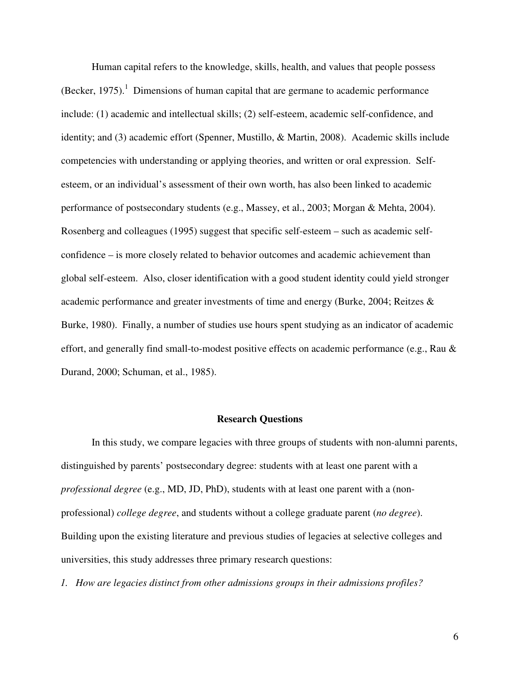Human capital refers to the knowledge, skills, health, and values that people possess (Becker, 1975).<sup>1</sup> Dimensions of human capital that are germane to academic performance include: (1) academic and intellectual skills; (2) self-esteem, academic self-confidence, and identity; and (3) academic effort (Spenner, Mustillo, & Martin, 2008). Academic skills include competencies with understanding or applying theories, and written or oral expression. Selfesteem, or an individual's assessment of their own worth, has also been linked to academic performance of postsecondary students (e.g., Massey, et al., 2003; Morgan & Mehta, 2004). Rosenberg and colleagues (1995) suggest that specific self-esteem – such as academic selfconfidence – is more closely related to behavior outcomes and academic achievement than global self-esteem. Also, closer identification with a good student identity could yield stronger academic performance and greater investments of time and energy (Burke, 2004; Reitzes & Burke, 1980). Finally, a number of studies use hours spent studying as an indicator of academic effort, and generally find small-to-modest positive effects on academic performance (e.g., Rau & Durand, 2000; Schuman, et al., 1985).

#### **Research Questions**

In this study, we compare legacies with three groups of students with non-alumni parents, distinguished by parents' postsecondary degree: students with at least one parent with a *professional degree* (e.g., MD, JD, PhD), students with at least one parent with a (nonprofessional) *college degree*, and students without a college graduate parent (*no degree*). Building upon the existing literature and previous studies of legacies at selective colleges and universities, this study addresses three primary research questions:

*1. How are legacies distinct from other admissions groups in their admissions profiles?*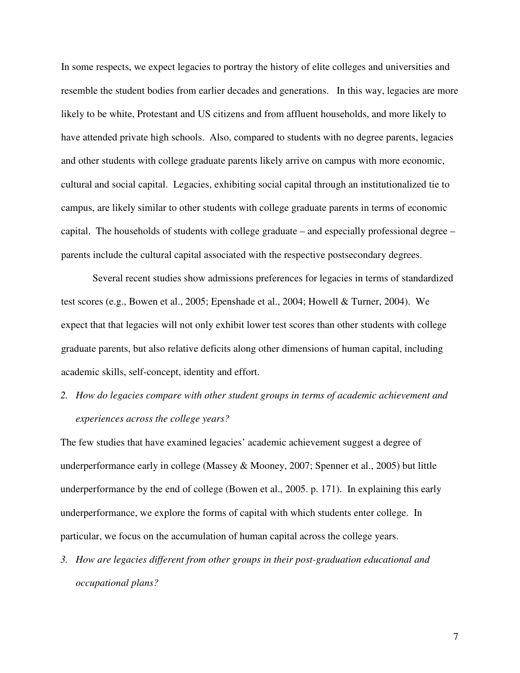In some respects, we expect legacies to portray the history of elite colleges and universities and resemble the student bodies from earlier decades and generations. In this way, legacies are more likely to be white, Protestant and US citizens and from affluent households, and more likely to have attended private high schools. Also, compared to students with no degree parents, legacies and other students with college graduate parents likely arrive on campus with more economic, cultural and social capital. Legacies, exhibiting social capital through an institutionalized tie to campus, are likely similar to other students with college graduate parents in terms of economic capital. The households of students with college graduate – and especially professional degree – parents include the cultural capital associated with the respective postsecondary degrees.

Several recent studies show admissions preferences for legacies in terms of standardized test scores (e.g., Bowen et al., 2005; Epenshade et al., 2004; Howell & Turner, 2004). We expect that that legacies will not only exhibit lower test scores than other students with college graduate parents, but also relative deficits along other dimensions of human capital, including academic skills, self-concept, identity and effort.

*2. How do legacies compare with other student groups in terms of academic achievement and experiences across the college years?*

The few studies that have examined legacies' academic achievement suggest a degree of underperformance early in college (Massey & Mooney, 2007; Spenner et al., 2005) but little underperformance by the end of college (Bowen et al., 2005. p. 171). In explaining this early underperformance, we explore the forms of capital with which students enter college. In particular, we focus on the accumulation of human capital across the college years.

*3. How are legacies different from other groups in their post-graduation educational and occupational plans?*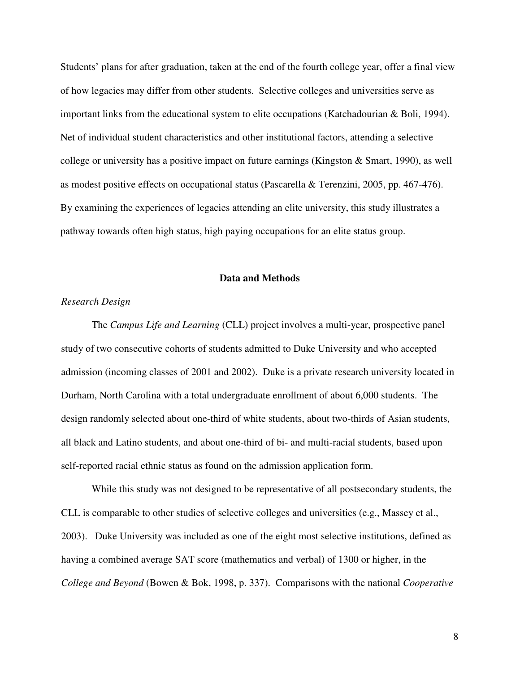Students' plans for after graduation, taken at the end of the fourth college year, offer a final view of how legacies may differ from other students. Selective colleges and universities serve as important links from the educational system to elite occupations (Katchadourian & Boli, 1994). Net of individual student characteristics and other institutional factors, attending a selective college or university has a positive impact on future earnings (Kingston & Smart, 1990), as well as modest positive effects on occupational status (Pascarella & Terenzini, 2005, pp. 467-476). By examining the experiences of legacies attending an elite university, this study illustrates a pathway towards often high status, high paying occupations for an elite status group.

#### **Data and Methods**

### *Research Design*

The *Campus Life and Learning* (CLL) project involves a multi-year, prospective panel study of two consecutive cohorts of students admitted to Duke University and who accepted admission (incoming classes of 2001 and 2002). Duke is a private research university located in Durham, North Carolina with a total undergraduate enrollment of about 6,000 students. The design randomly selected about one-third of white students, about two-thirds of Asian students, all black and Latino students, and about one-third of bi- and multi-racial students, based upon self-reported racial ethnic status as found on the admission application form.

While this study was not designed to be representative of all postsecondary students, the CLL is comparable to other studies of selective colleges and universities (e.g., Massey et al., 2003). Duke University was included as one of the eight most selective institutions, defined as having a combined average SAT score (mathematics and verbal) of 1300 or higher, in the *College and Beyond* (Bowen & Bok, 1998, p. 337). Comparisons with the national *Cooperative*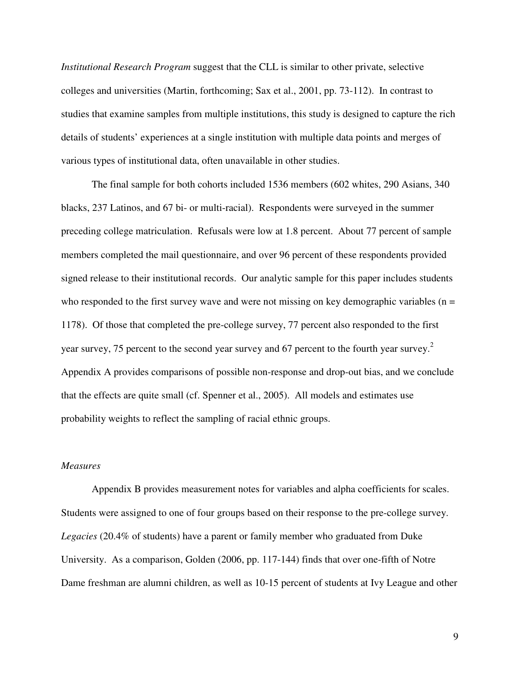*Institutional Research Program* suggest that the CLL is similar to other private, selective colleges and universities (Martin, forthcoming; Sax et al., 2001, pp. 73-112). In contrast to studies that examine samples from multiple institutions, this study is designed to capture the rich details of students' experiences at a single institution with multiple data points and merges of various types of institutional data, often unavailable in other studies.

The final sample for both cohorts included 1536 members (602 whites, 290 Asians, 340 blacks, 237 Latinos, and 67 bi- or multi-racial). Respondents were surveyed in the summer preceding college matriculation. Refusals were low at 1.8 percent. About 77 percent of sample members completed the mail questionnaire, and over 96 percent of these respondents provided signed release to their institutional records. Our analytic sample for this paper includes students who responded to the first survey wave and were not missing on key demographic variables ( $n =$ 1178). Of those that completed the pre-college survey, 77 percent also responded to the first year survey, 75 percent to the second year survey and 67 percent to the fourth year survey.<sup>2</sup> Appendix A provides comparisons of possible non-response and drop-out bias, and we conclude that the effects are quite small (cf. Spenner et al., 2005). All models and estimates use probability weights to reflect the sampling of racial ethnic groups.

### *Measures*

Appendix B provides measurement notes for variables and alpha coefficients for scales. Students were assigned to one of four groups based on their response to the pre-college survey. *Legacies* (20.4% of students) have a parent or family member who graduated from Duke University. As a comparison, Golden (2006, pp. 117-144) finds that over one-fifth of Notre Dame freshman are alumni children, as well as 10-15 percent of students at Ivy League and other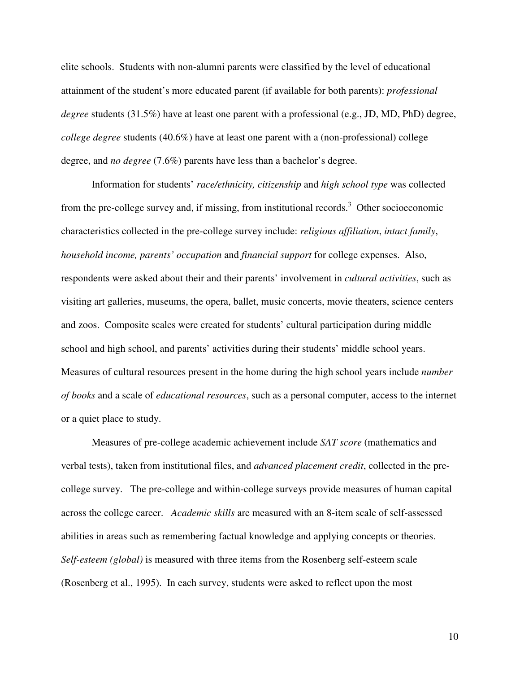elite schools. Students with non-alumni parents were classified by the level of educational attainment of the student's more educated parent (if available for both parents): *professional degree* students (31.5%) have at least one parent with a professional (e.g., JD, MD, PhD) degree, *college degree* students (40.6%) have at least one parent with a (non-professional) college degree, and *no degree* (7.6%) parents have less than a bachelor's degree.

Information for students' *race/ethnicity, citizenship* and *high school type* was collected from the pre-college survey and, if missing, from institutional records.<sup>3</sup> Other socioeconomic characteristics collected in the pre-college survey include: *religious affiliation*, *intact family*, *household income, parents' occupation* and *financial support* for college expenses. Also, respondents were asked about their and their parents' involvement in *cultural activities*, such as visiting art galleries, museums, the opera, ballet, music concerts, movie theaters, science centers and zoos. Composite scales were created for students' cultural participation during middle school and high school, and parents' activities during their students' middle school years. Measures of cultural resources present in the home during the high school years include *number of books* and a scale of *educational resources*, such as a personal computer, access to the internet or a quiet place to study.

Measures of pre-college academic achievement include *SAT score* (mathematics and verbal tests), taken from institutional files, and *advanced placement credit*, collected in the precollege survey. The pre-college and within-college surveys provide measures of human capital across the college career. *Academic skills* are measured with an 8-item scale of self-assessed abilities in areas such as remembering factual knowledge and applying concepts or theories. *Self-esteem (global)* is measured with three items from the Rosenberg self-esteem scale (Rosenberg et al., 1995). In each survey, students were asked to reflect upon the most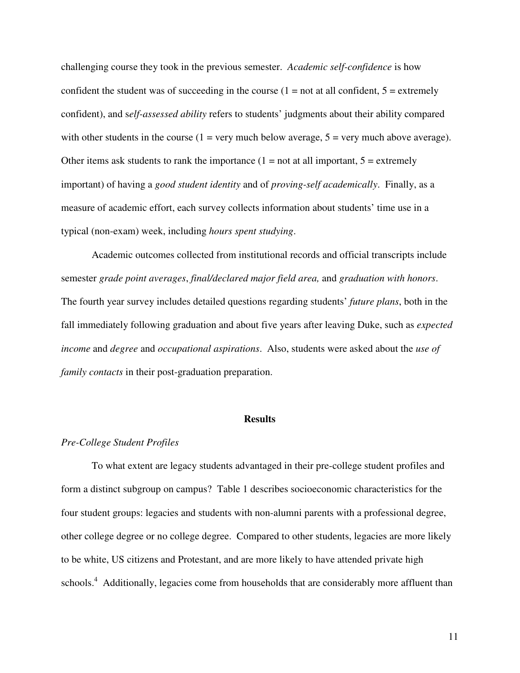challenging course they took in the previous semester. *Academic self-confidence* is how confident the student was of succeeding in the course  $(1 = not at all confident, 5 = extremely$ confident), and s*elf-assessed ability* refers to students' judgments about their ability compared with other students in the course  $(1 = \text{very much below average}, 5 = \text{very much above average})$ . Other items ask students to rank the importance  $(1 = not at all important, 5 = extremely)$ important) of having a *good student identity* and of *proving-self academically*. Finally, as a measure of academic effort, each survey collects information about students' time use in a typical (non-exam) week, including *hours spent studying*.

Academic outcomes collected from institutional records and official transcripts include semester *grade point averages*, *final/declared major field area,* and *graduation with honors*. The fourth year survey includes detailed questions regarding students' *future plans*, both in the fall immediately following graduation and about five years after leaving Duke, such as *expected income* and *degree* and *occupational aspirations*. Also, students were asked about the *use of family contacts* in their post-graduation preparation.

#### **Results**

#### *Pre-College Student Profiles*

To what extent are legacy students advantaged in their pre-college student profiles and form a distinct subgroup on campus? Table 1 describes socioeconomic characteristics for the four student groups: legacies and students with non-alumni parents with a professional degree, other college degree or no college degree. Compared to other students, legacies are more likely to be white, US citizens and Protestant, and are more likely to have attended private high schools.<sup>4</sup> Additionally, legacies come from households that are considerably more affluent than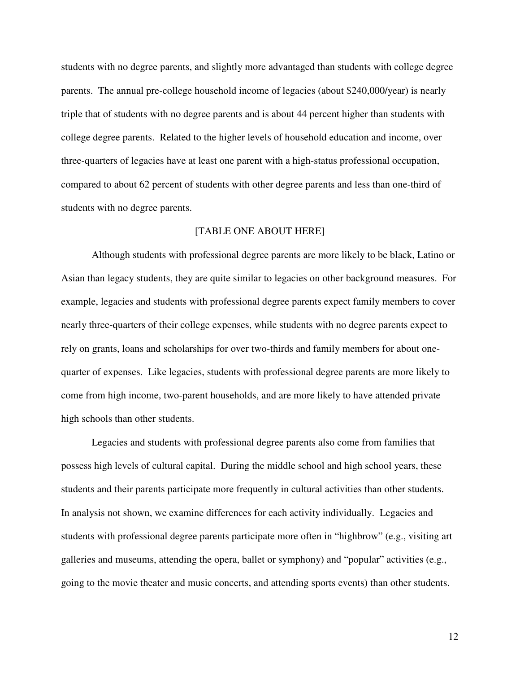students with no degree parents, and slightly more advantaged than students with college degree parents. The annual pre-college household income of legacies (about \$240,000/year) is nearly triple that of students with no degree parents and is about 44 percent higher than students with college degree parents. Related to the higher levels of household education and income, over three-quarters of legacies have at least one parent with a high-status professional occupation, compared to about 62 percent of students with other degree parents and less than one-third of students with no degree parents.

## [TABLE ONE ABOUT HERE]

Although students with professional degree parents are more likely to be black, Latino or Asian than legacy students, they are quite similar to legacies on other background measures. For example, legacies and students with professional degree parents expect family members to cover nearly three-quarters of their college expenses, while students with no degree parents expect to rely on grants, loans and scholarships for over two-thirds and family members for about onequarter of expenses. Like legacies, students with professional degree parents are more likely to come from high income, two-parent households, and are more likely to have attended private high schools than other students.

Legacies and students with professional degree parents also come from families that possess high levels of cultural capital. During the middle school and high school years, these students and their parents participate more frequently in cultural activities than other students. In analysis not shown, we examine differences for each activity individually. Legacies and students with professional degree parents participate more often in "highbrow" (e.g., visiting art galleries and museums, attending the opera, ballet or symphony) and "popular" activities (e.g., going to the movie theater and music concerts, and attending sports events) than other students.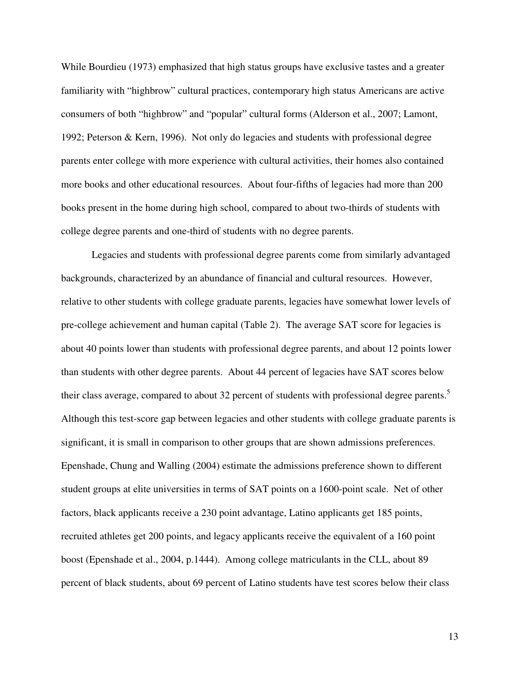While Bourdieu (1973) emphasized that high status groups have exclusive tastes and a greater familiarity with "highbrow" cultural practices, contemporary high status Americans are active consumers of both "highbrow" and "popular" cultural forms (Alderson et al., 2007; Lamont, 1992; Peterson & Kern, 1996). Not only do legacies and students with professional degree parents enter college with more experience with cultural activities, their homes also contained more books and other educational resources. About four-fifths of legacies had more than 200 books present in the home during high school, compared to about two-thirds of students with college degree parents and one-third of students with no degree parents.

Legacies and students with professional degree parents come from similarly advantaged backgrounds, characterized by an abundance of financial and cultural resources. However, relative to other students with college graduate parents, legacies have somewhat lower levels of pre-college achievement and human capital (Table 2). The average SAT score for legacies is about 40 points lower than students with professional degree parents, and about 12 points lower than students with other degree parents. About 44 percent of legacies have SAT scores below their class average, compared to about 32 percent of students with professional degree parents.<sup>5</sup> Although this test-score gap between legacies and other students with college graduate parents is significant, it is small in comparison to other groups that are shown admissions preferences. Epenshade, Chung and Walling (2004) estimate the admissions preference shown to different student groups at elite universities in terms of SAT points on a 1600-point scale. Net of other factors, black applicants receive a 230 point advantage, Latino applicants get 185 points, recruited athletes get 200 points, and legacy applicants receive the equivalent of a 160 point boost (Epenshade et al., 2004, p.1444). Among college matriculants in the CLL, about 89 percent of black students, about 69 percent of Latino students have test scores below their class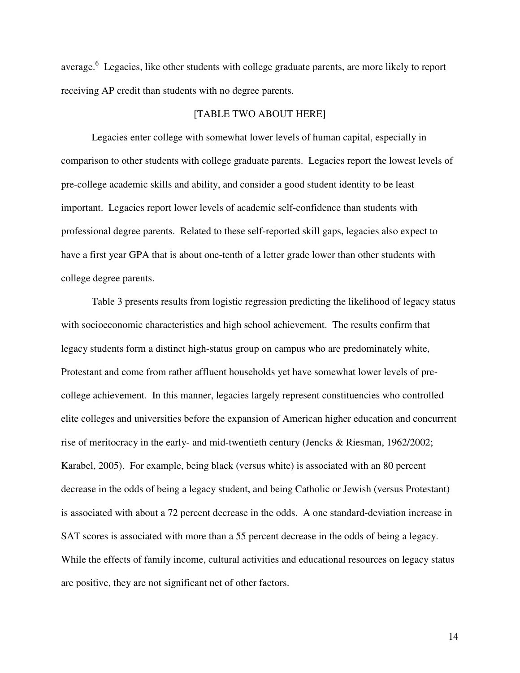average.<sup>6</sup> Legacies, like other students with college graduate parents, are more likely to report receiving AP credit than students with no degree parents.

### [TABLE TWO ABOUT HERE]

Legacies enter college with somewhat lower levels of human capital, especially in comparison to other students with college graduate parents. Legacies report the lowest levels of pre-college academic skills and ability, and consider a good student identity to be least important. Legacies report lower levels of academic self-confidence than students with professional degree parents. Related to these self-reported skill gaps, legacies also expect to have a first year GPA that is about one-tenth of a letter grade lower than other students with college degree parents.

Table 3 presents results from logistic regression predicting the likelihood of legacy status with socioeconomic characteristics and high school achievement. The results confirm that legacy students form a distinct high-status group on campus who are predominately white, Protestant and come from rather affluent households yet have somewhat lower levels of precollege achievement. In this manner, legacies largely represent constituencies who controlled elite colleges and universities before the expansion of American higher education and concurrent rise of meritocracy in the early- and mid-twentieth century (Jencks & Riesman, 1962/2002; Karabel, 2005). For example, being black (versus white) is associated with an 80 percent decrease in the odds of being a legacy student, and being Catholic or Jewish (versus Protestant) is associated with about a 72 percent decrease in the odds. A one standard-deviation increase in SAT scores is associated with more than a 55 percent decrease in the odds of being a legacy. While the effects of family income, cultural activities and educational resources on legacy status are positive, they are not significant net of other factors.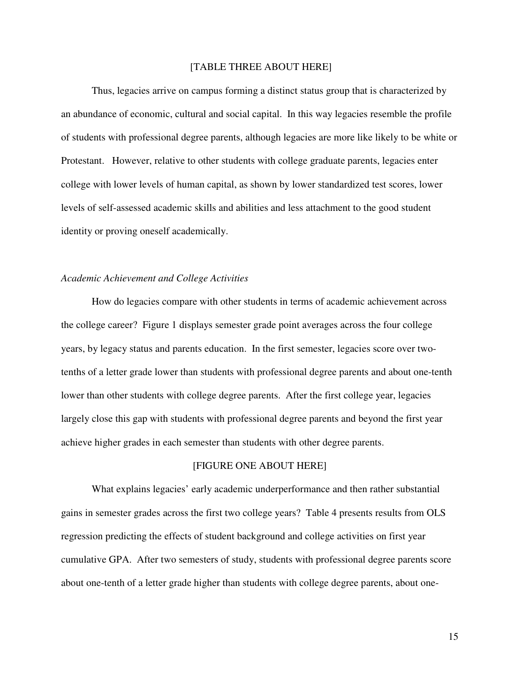#### [TABLE THREE ABOUT HERE]

Thus, legacies arrive on campus forming a distinct status group that is characterized by an abundance of economic, cultural and social capital. In this way legacies resemble the profile of students with professional degree parents, although legacies are more like likely to be white or Protestant. However, relative to other students with college graduate parents, legacies enter college with lower levels of human capital, as shown by lower standardized test scores, lower levels of self-assessed academic skills and abilities and less attachment to the good student identity or proving oneself academically.

## *Academic Achievement and College Activities*

How do legacies compare with other students in terms of academic achievement across the college career? Figure 1 displays semester grade point averages across the four college years, by legacy status and parents education. In the first semester, legacies score over twotenths of a letter grade lower than students with professional degree parents and about one-tenth lower than other students with college degree parents. After the first college year, legacies largely close this gap with students with professional degree parents and beyond the first year achieve higher grades in each semester than students with other degree parents.

## [FIGURE ONE ABOUT HERE]

What explains legacies' early academic underperformance and then rather substantial gains in semester grades across the first two college years? Table 4 presents results from OLS regression predicting the effects of student background and college activities on first year cumulative GPA. After two semesters of study, students with professional degree parents score about one-tenth of a letter grade higher than students with college degree parents, about one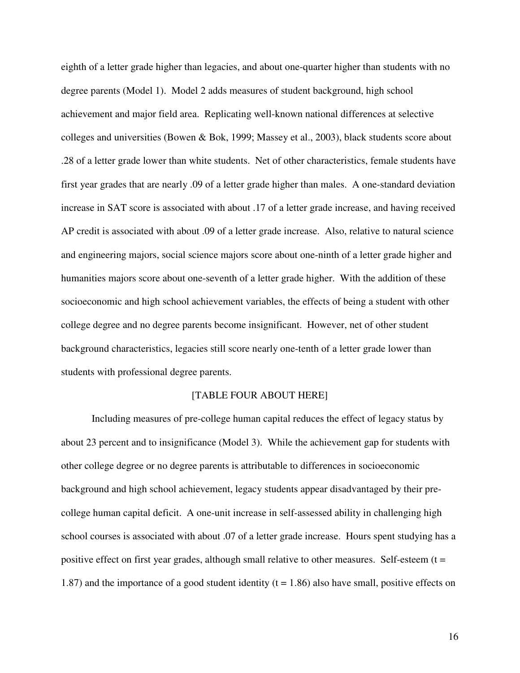eighth of a letter grade higher than legacies, and about one-quarter higher than students with no degree parents (Model 1). Model 2 adds measures of student background, high school achievement and major field area. Replicating well-known national differences at selective colleges and universities (Bowen & Bok, 1999; Massey et al., 2003), black students score about .28 of a letter grade lower than white students. Net of other characteristics, female students have first year grades that are nearly .09 of a letter grade higher than males. A one-standard deviation increase in SAT score is associated with about .17 of a letter grade increase, and having received AP credit is associated with about .09 of a letter grade increase. Also, relative to natural science and engineering majors, social science majors score about one-ninth of a letter grade higher and humanities majors score about one-seventh of a letter grade higher. With the addition of these socioeconomic and high school achievement variables, the effects of being a student with other college degree and no degree parents become insignificant. However, net of other student background characteristics, legacies still score nearly one-tenth of a letter grade lower than students with professional degree parents.

#### [TABLE FOUR ABOUT HERE]

Including measures of pre-college human capital reduces the effect of legacy status by about 23 percent and to insignificance (Model 3). While the achievement gap for students with other college degree or no degree parents is attributable to differences in socioeconomic background and high school achievement, legacy students appear disadvantaged by their precollege human capital deficit. A one-unit increase in self-assessed ability in challenging high school courses is associated with about .07 of a letter grade increase. Hours spent studying has a positive effect on first year grades, although small relative to other measures. Self-esteem  $(t =$ 1.87) and the importance of a good student identity ( $t = 1.86$ ) also have small, positive effects on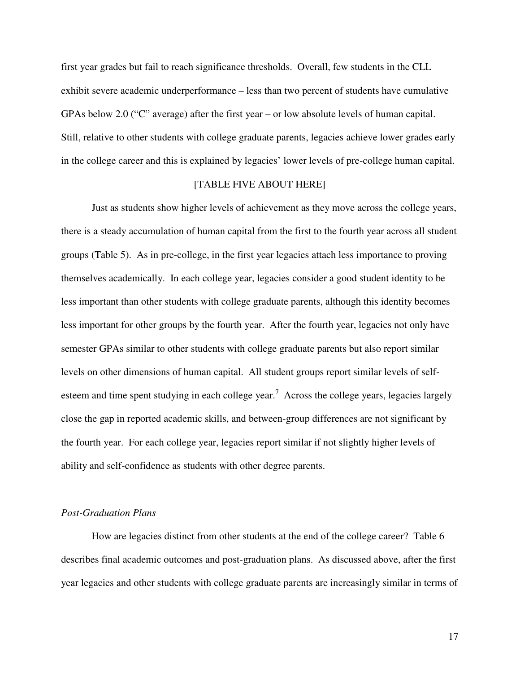first year grades but fail to reach significance thresholds. Overall, few students in the CLL exhibit severe academic underperformance – less than two percent of students have cumulative GPAs below 2.0 ("C" average) after the first year – or low absolute levels of human capital. Still, relative to other students with college graduate parents, legacies achieve lower grades early in the college career and this is explained by legacies' lower levels of pre-college human capital.

## [TABLE FIVE ABOUT HERE]

Just as students show higher levels of achievement as they move across the college years, there is a steady accumulation of human capital from the first to the fourth year across all student groups (Table 5). As in pre-college, in the first year legacies attach less importance to proving themselves academically. In each college year, legacies consider a good student identity to be less important than other students with college graduate parents, although this identity becomes less important for other groups by the fourth year. After the fourth year, legacies not only have semester GPAs similar to other students with college graduate parents but also report similar levels on other dimensions of human capital. All student groups report similar levels of selfesteem and time spent studying in each college year.<sup>7</sup> Across the college years, legacies largely close the gap in reported academic skills, and between-group differences are not significant by the fourth year. For each college year, legacies report similar if not slightly higher levels of ability and self-confidence as students with other degree parents.

#### *Post-Graduation Plans*

How are legacies distinct from other students at the end of the college career? Table 6 describes final academic outcomes and post-graduation plans. As discussed above, after the first year legacies and other students with college graduate parents are increasingly similar in terms of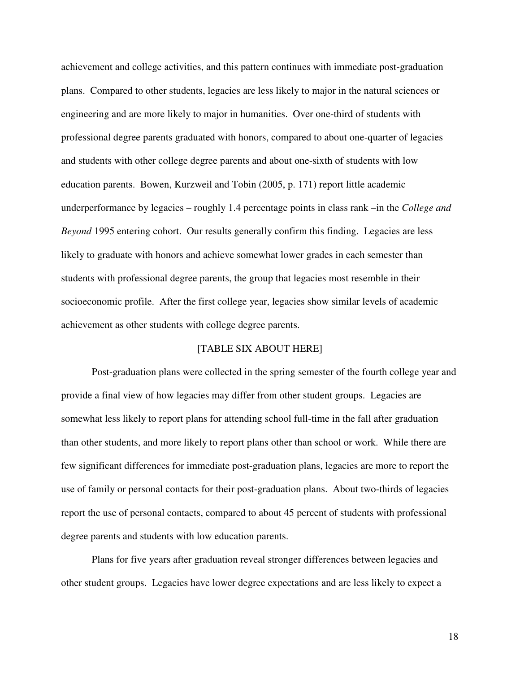achievement and college activities, and this pattern continues with immediate post-graduation plans. Compared to other students, legacies are less likely to major in the natural sciences or engineering and are more likely to major in humanities. Over one-third of students with professional degree parents graduated with honors, compared to about one-quarter of legacies and students with other college degree parents and about one-sixth of students with low education parents. Bowen, Kurzweil and Tobin (2005, p. 171) report little academic underperformance by legacies – roughly 1.4 percentage points in class rank –in the *College and Beyond* 1995 entering cohort. Our results generally confirm this finding. Legacies are less likely to graduate with honors and achieve somewhat lower grades in each semester than students with professional degree parents, the group that legacies most resemble in their socioeconomic profile. After the first college year, legacies show similar levels of academic achievement as other students with college degree parents.

## [TABLE SIX ABOUT HERE]

Post-graduation plans were collected in the spring semester of the fourth college year and provide a final view of how legacies may differ from other student groups. Legacies are somewhat less likely to report plans for attending school full-time in the fall after graduation than other students, and more likely to report plans other than school or work. While there are few significant differences for immediate post-graduation plans, legacies are more to report the use of family or personal contacts for their post-graduation plans. About two-thirds of legacies report the use of personal contacts, compared to about 45 percent of students with professional degree parents and students with low education parents.

Plans for five years after graduation reveal stronger differences between legacies and other student groups. Legacies have lower degree expectations and are less likely to expect a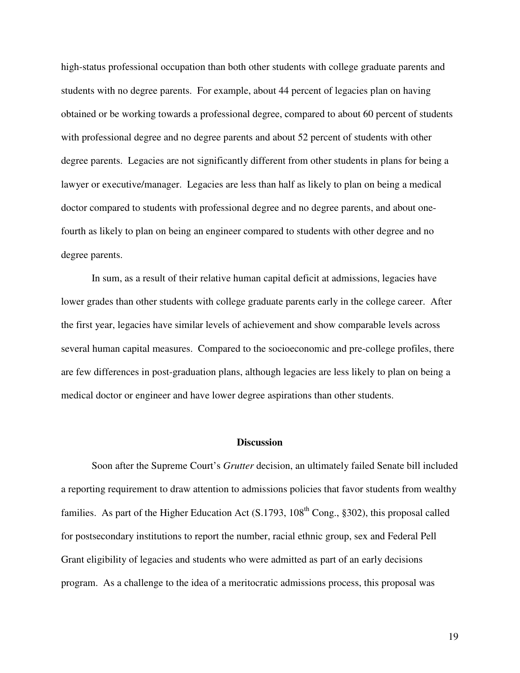high-status professional occupation than both other students with college graduate parents and students with no degree parents. For example, about 44 percent of legacies plan on having obtained or be working towards a professional degree, compared to about 60 percent of students with professional degree and no degree parents and about 52 percent of students with other degree parents. Legacies are not significantly different from other students in plans for being a lawyer or executive/manager. Legacies are less than half as likely to plan on being a medical doctor compared to students with professional degree and no degree parents, and about onefourth as likely to plan on being an engineer compared to students with other degree and no degree parents.

In sum, as a result of their relative human capital deficit at admissions, legacies have lower grades than other students with college graduate parents early in the college career. After the first year, legacies have similar levels of achievement and show comparable levels across several human capital measures. Compared to the socioeconomic and pre-college profiles, there are few differences in post-graduation plans, although legacies are less likely to plan on being a medical doctor or engineer and have lower degree aspirations than other students.

#### **Discussion**

Soon after the Supreme Court's *Grutter* decision, an ultimately failed Senate bill included a reporting requirement to draw attention to admissions policies that favor students from wealthy families. As part of the Higher Education Act (S.1793, 108<sup>th</sup> Cong., §302), this proposal called for postsecondary institutions to report the number, racial ethnic group, sex and Federal Pell Grant eligibility of legacies and students who were admitted as part of an early decisions program. As a challenge to the idea of a meritocratic admissions process, this proposal was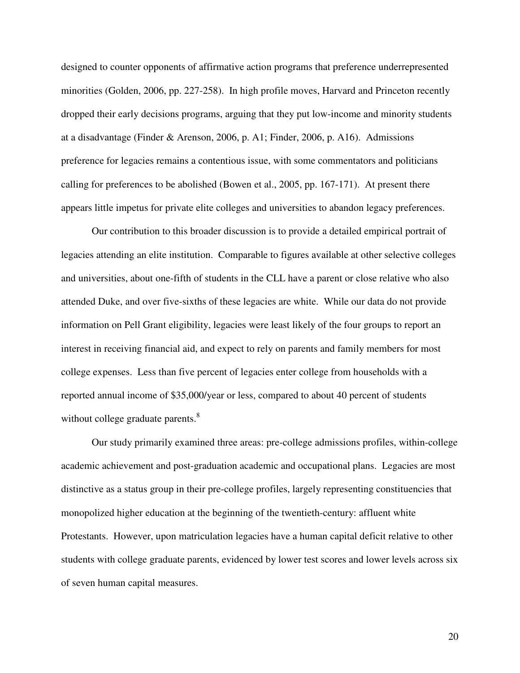designed to counter opponents of affirmative action programs that preference underrepresented minorities (Golden, 2006, pp. 227-258). In high profile moves, Harvard and Princeton recently dropped their early decisions programs, arguing that they put low-income and minority students at a disadvantage (Finder & Arenson, 2006, p. A1; Finder, 2006, p. A16). Admissions preference for legacies remains a contentious issue, with some commentators and politicians calling for preferences to be abolished (Bowen et al., 2005, pp. 167-171). At present there appears little impetus for private elite colleges and universities to abandon legacy preferences.

Our contribution to this broader discussion is to provide a detailed empirical portrait of legacies attending an elite institution. Comparable to figures available at other selective colleges and universities, about one-fifth of students in the CLL have a parent or close relative who also attended Duke, and over five-sixths of these legacies are white. While our data do not provide information on Pell Grant eligibility, legacies were least likely of the four groups to report an interest in receiving financial aid, and expect to rely on parents and family members for most college expenses. Less than five percent of legacies enter college from households with a reported annual income of \$35,000/year or less, compared to about 40 percent of students without college graduate parents.<sup>8</sup>

Our study primarily examined three areas: pre-college admissions profiles, within-college academic achievement and post-graduation academic and occupational plans. Legacies are most distinctive as a status group in their pre-college profiles, largely representing constituencies that monopolized higher education at the beginning of the twentieth-century: affluent white Protestants. However, upon matriculation legacies have a human capital deficit relative to other students with college graduate parents, evidenced by lower test scores and lower levels across six of seven human capital measures.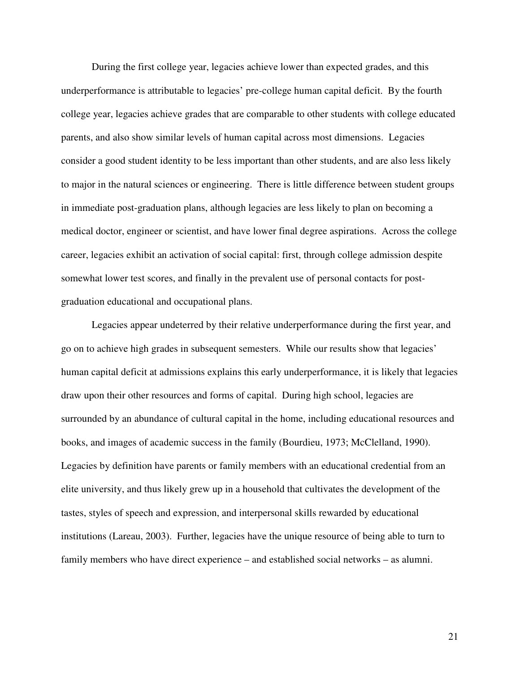During the first college year, legacies achieve lower than expected grades, and this underperformance is attributable to legacies' pre-college human capital deficit. By the fourth college year, legacies achieve grades that are comparable to other students with college educated parents, and also show similar levels of human capital across most dimensions. Legacies consider a good student identity to be less important than other students, and are also less likely to major in the natural sciences or engineering. There is little difference between student groups in immediate post-graduation plans, although legacies are less likely to plan on becoming a medical doctor, engineer or scientist, and have lower final degree aspirations. Across the college career, legacies exhibit an activation of social capital: first, through college admission despite somewhat lower test scores, and finally in the prevalent use of personal contacts for postgraduation educational and occupational plans.

Legacies appear undeterred by their relative underperformance during the first year, and go on to achieve high grades in subsequent semesters. While our results show that legacies' human capital deficit at admissions explains this early underperformance, it is likely that legacies draw upon their other resources and forms of capital. During high school, legacies are surrounded by an abundance of cultural capital in the home, including educational resources and books, and images of academic success in the family (Bourdieu, 1973; McClelland, 1990). Legacies by definition have parents or family members with an educational credential from an elite university, and thus likely grew up in a household that cultivates the development of the tastes, styles of speech and expression, and interpersonal skills rewarded by educational institutions (Lareau, 2003). Further, legacies have the unique resource of being able to turn to family members who have direct experience – and established social networks – as alumni.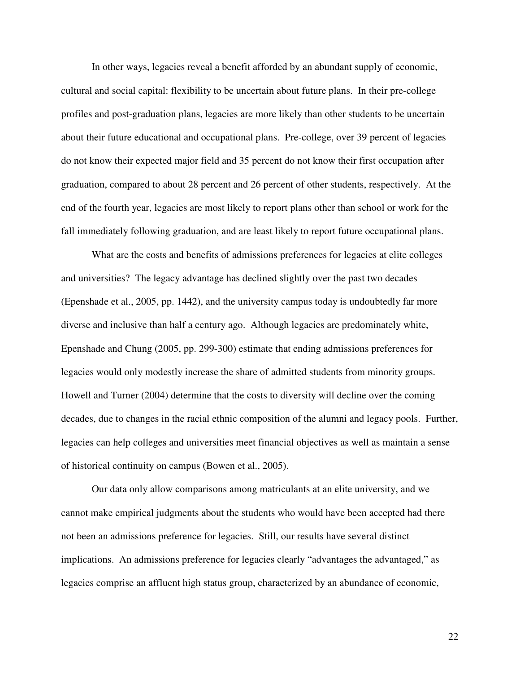In other ways, legacies reveal a benefit afforded by an abundant supply of economic, cultural and social capital: flexibility to be uncertain about future plans. In their pre-college profiles and post-graduation plans, legacies are more likely than other students to be uncertain about their future educational and occupational plans. Pre-college, over 39 percent of legacies do not know their expected major field and 35 percent do not know their first occupation after graduation, compared to about 28 percent and 26 percent of other students, respectively. At the end of the fourth year, legacies are most likely to report plans other than school or work for the fall immediately following graduation, and are least likely to report future occupational plans.

What are the costs and benefits of admissions preferences for legacies at elite colleges and universities? The legacy advantage has declined slightly over the past two decades (Epenshade et al., 2005, pp. 1442), and the university campus today is undoubtedly far more diverse and inclusive than half a century ago. Although legacies are predominately white, Epenshade and Chung (2005, pp. 299-300) estimate that ending admissions preferences for legacies would only modestly increase the share of admitted students from minority groups. Howell and Turner (2004) determine that the costs to diversity will decline over the coming decades, due to changes in the racial ethnic composition of the alumni and legacy pools. Further, legacies can help colleges and universities meet financial objectives as well as maintain a sense of historical continuity on campus (Bowen et al., 2005).

Our data only allow comparisons among matriculants at an elite university, and we cannot make empirical judgments about the students who would have been accepted had there not been an admissions preference for legacies. Still, our results have several distinct implications. An admissions preference for legacies clearly "advantages the advantaged," as legacies comprise an affluent high status group, characterized by an abundance of economic,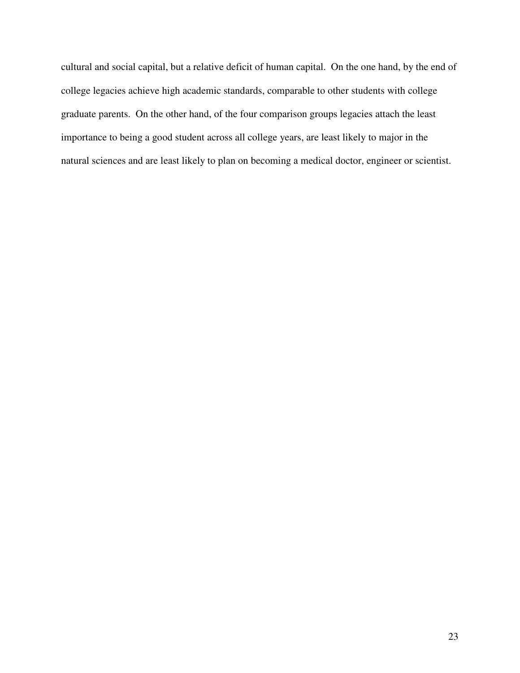cultural and social capital, but a relative deficit of human capital. On the one hand, by the end of college legacies achieve high academic standards, comparable to other students with college graduate parents. On the other hand, of the four comparison groups legacies attach the least importance to being a good student across all college years, are least likely to major in the natural sciences and are least likely to plan on becoming a medical doctor, engineer or scientist.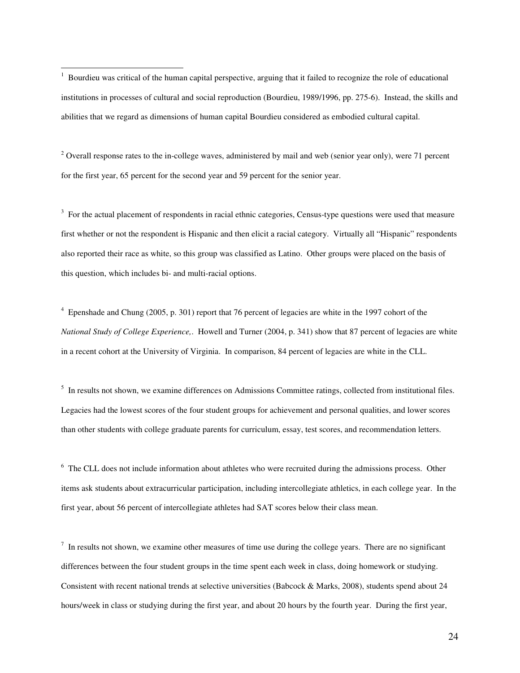$1$  Bourdieu was critical of the human capital perspective, arguing that it failed to recognize the role of educational institutions in processes of cultural and social reproduction (Bourdieu, 1989/1996, pp. 275-6). Instead, the skills and abilities that we regard as dimensions of human capital Bourdieu considered as embodied cultural capital.

 $2$  Overall response rates to the in-college waves, administered by mail and web (senior year only), were 71 percent for the first year, 65 percent for the second year and 59 percent for the senior year.

<sup>3</sup> For the actual placement of respondents in racial ethnic categories, Census-type questions were used that measure first whether or not the respondent is Hispanic and then elicit a racial category. Virtually all "Hispanic" respondents also reported their race as white, so this group was classified as Latino. Other groups were placed on the basis of this question, which includes bi- and multi-racial options.

<sup>4</sup> Epenshade and Chung (2005, p. 301) report that 76 percent of legacies are white in the 1997 cohort of the *National Study of College Experience,*. Howell and Turner (2004, p. 341) show that 87 percent of legacies are white in a recent cohort at the University of Virginia. In comparison, 84 percent of legacies are white in the CLL.

<sup>5</sup> In results not shown, we examine differences on Admissions Committee ratings, collected from institutional files. Legacies had the lowest scores of the four student groups for achievement and personal qualities, and lower scores than other students with college graduate parents for curriculum, essay, test scores, and recommendation letters.

<sup>6</sup> The CLL does not include information about athletes who were recruited during the admissions process. Other items ask students about extracurricular participation, including intercollegiate athletics, in each college year. In the first year, about 56 percent of intercollegiate athletes had SAT scores below their class mean.

 $<sup>7</sup>$  In results not shown, we examine other measures of time use during the college years. There are no significant</sup> differences between the four student groups in the time spent each week in class, doing homework or studying. Consistent with recent national trends at selective universities (Babcock & Marks, 2008), students spend about 24 hours/week in class or studying during the first year, and about 20 hours by the fourth year. During the first year,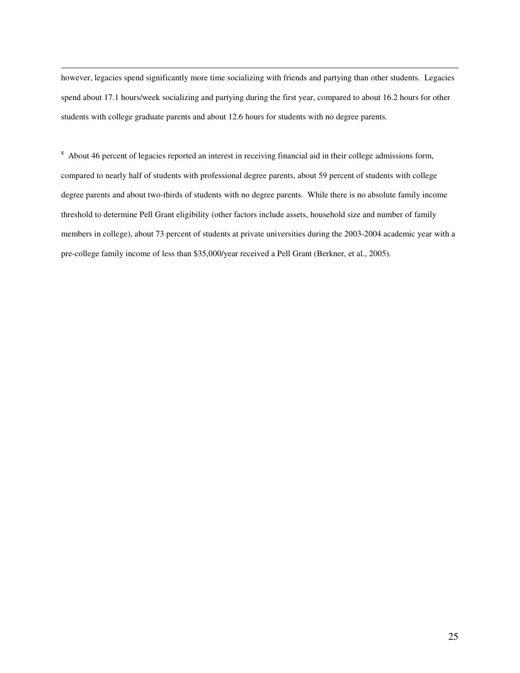however, legacies spend significantly more time socializing with friends and partying than other students. Legacies spend about 17.1 hours/week socializing and partying during the first year, compared to about 16.2 hours for other students with college graduate parents and about 12.6 hours for students with no degree parents.

<sup>8</sup> About 46 percent of legacies reported an interest in receiving financial aid in their college admissions form, compared to nearly half of students with professional degree parents, about 59 percent of students with college degree parents and about two-thirds of students with no degree parents. While there is no absolute family income threshold to determine Pell Grant eligibility (other factors include assets, household size and number of family members in college), about 73 percent of students at private universities during the 2003-2004 academic year with a pre-college family income of less than \$35,000/year received a Pell Grant (Berkner, et al., 2005).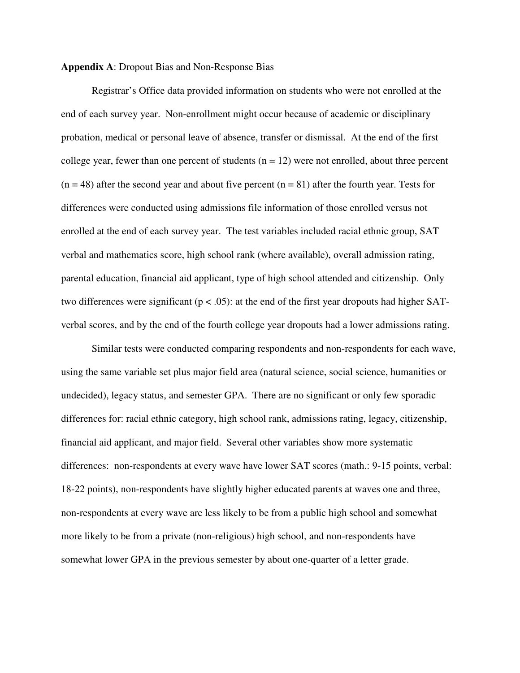### **Appendix A**: Dropout Bias and Non-Response Bias

Registrar's Office data provided information on students who were not enrolled at the end of each survey year. Non-enrollment might occur because of academic or disciplinary probation, medical or personal leave of absence, transfer or dismissal. At the end of the first college year, fewer than one percent of students  $(n = 12)$  were not enrolled, about three percent  $(n = 48)$  after the second year and about five percent  $(n = 81)$  after the fourth year. Tests for differences were conducted using admissions file information of those enrolled versus not enrolled at the end of each survey year. The test variables included racial ethnic group, SAT verbal and mathematics score, high school rank (where available), overall admission rating, parental education, financial aid applicant, type of high school attended and citizenship. Only two differences were significant ( $p < .05$ ): at the end of the first year dropouts had higher SATverbal scores, and by the end of the fourth college year dropouts had a lower admissions rating.

Similar tests were conducted comparing respondents and non-respondents for each wave, using the same variable set plus major field area (natural science, social science, humanities or undecided), legacy status, and semester GPA. There are no significant or only few sporadic differences for: racial ethnic category, high school rank, admissions rating, legacy, citizenship, financial aid applicant, and major field. Several other variables show more systematic differences: non-respondents at every wave have lower SAT scores (math.: 9-15 points, verbal: 18-22 points), non-respondents have slightly higher educated parents at waves one and three, non-respondents at every wave are less likely to be from a public high school and somewhat more likely to be from a private (non-religious) high school, and non-respondents have somewhat lower GPA in the previous semester by about one-quarter of a letter grade.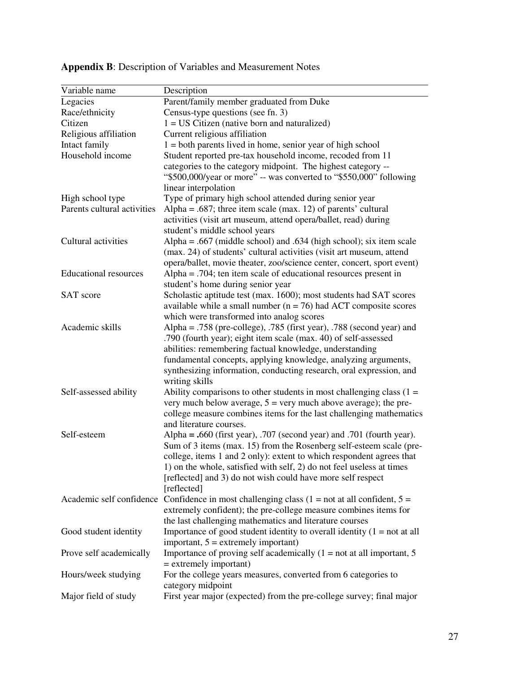| Parent/family member graduated from Duke<br>Legacies<br>Race/ethnicity<br>Census-type questions (see fn. 3)<br>$1 = US$ Citizen (native born and naturalized)<br>Citizen<br>Current religious affiliation<br>Religious affiliation<br>Intact family<br>$1 =$ both parents lived in home, senior year of high school<br>Household income<br>Student reported pre-tax household income, recoded from 11<br>categories to the category midpoint. The highest category --<br>"\$500,000/year or more" -- was converted to "\$550,000" following<br>linear interpolation<br>Type of primary high school attended during senior year<br>High school type<br>Parents cultural activities<br>Alpha = $.687$ ; three item scale (max. 12) of parents' cultural<br>activities (visit art museum, attend opera/ballet, read) during<br>student's middle school years<br>Cultural activities<br>Alpha = .667 (middle school) and .634 (high school); six item scale<br>(max. 24) of students' cultural activities (visit art museum, attend<br>opera/ballet, movie theater, zoo/science center, concert, sport event)<br><b>Educational resources</b><br>Alpha = $.704$ ; ten item scale of educational resources present in<br>student's home during senior year<br>Scholastic aptitude test (max. 1600); most students had SAT scores<br><b>SAT</b> score<br>available while a small number ( $n = 76$ ) had ACT composite scores<br>which were transformed into analog scores<br>Academic skills<br>Alpha = .758 (pre-college), .785 (first year), .788 (second year) and<br>.790 (fourth year); eight item scale (max. 40) of self-assessed<br>abilities: remembering factual knowledge, understanding<br>fundamental concepts, applying knowledge, analyzing arguments,<br>synthesizing information, conducting research, oral expression, and<br>writing skills<br>Ability comparisons to other students in most challenging class $(1 =$<br>Self-assessed ability<br>very much below average, $5 = \text{very much above average}$ ; the pre-<br>college measure combines items for the last challenging mathematics<br>and literature courses.<br>Alpha = $.660$ (first year), .707 (second year) and .701 (fourth year).<br>Self-esteem<br>Sum of 3 items (max. 15) from the Rosenberg self-esteem scale (pre-<br>college, items 1 and 2 only): extent to which respondent agrees that<br>1) on the whole, satisfied with self, 2) do not feel useless at times<br>[reflected] and 3) do not wish could have more self respect<br>[reflected]<br>Academic self confidence<br>Confidence in most challenging class $(1 = not at all confident, 5 =$<br>extremely confident); the pre-college measure combines items for<br>the last challenging mathematics and literature courses<br>Importance of good student identity to overall identity $(1 = not at all$<br>Good student identity<br>$important, 5 = extremely important)$<br>Prove self academically<br>Importance of proving self academically $(1 = not at all important, 5)$<br>$=$ extremely important) | Variable name       | Description                                                    |
|-----------------------------------------------------------------------------------------------------------------------------------------------------------------------------------------------------------------------------------------------------------------------------------------------------------------------------------------------------------------------------------------------------------------------------------------------------------------------------------------------------------------------------------------------------------------------------------------------------------------------------------------------------------------------------------------------------------------------------------------------------------------------------------------------------------------------------------------------------------------------------------------------------------------------------------------------------------------------------------------------------------------------------------------------------------------------------------------------------------------------------------------------------------------------------------------------------------------------------------------------------------------------------------------------------------------------------------------------------------------------------------------------------------------------------------------------------------------------------------------------------------------------------------------------------------------------------------------------------------------------------------------------------------------------------------------------------------------------------------------------------------------------------------------------------------------------------------------------------------------------------------------------------------------------------------------------------------------------------------------------------------------------------------------------------------------------------------------------------------------------------------------------------------------------------------------------------------------------------------------------------------------------------------------------------------------------------------------------------------------------------------------------------------------------------------------------------------------------------------------------------------------------------------------------------------------------------------------------------------------------------------------------------------------------------------------------------------------------------------------------------------------------------------------------------------------------------------------------------------------------------------------------------------------------------------------------------------------------------------------------------------------------------------------------------------------|---------------------|----------------------------------------------------------------|
|                                                                                                                                                                                                                                                                                                                                                                                                                                                                                                                                                                                                                                                                                                                                                                                                                                                                                                                                                                                                                                                                                                                                                                                                                                                                                                                                                                                                                                                                                                                                                                                                                                                                                                                                                                                                                                                                                                                                                                                                                                                                                                                                                                                                                                                                                                                                                                                                                                                                                                                                                                                                                                                                                                                                                                                                                                                                                                                                                                                                                                                                 |                     |                                                                |
|                                                                                                                                                                                                                                                                                                                                                                                                                                                                                                                                                                                                                                                                                                                                                                                                                                                                                                                                                                                                                                                                                                                                                                                                                                                                                                                                                                                                                                                                                                                                                                                                                                                                                                                                                                                                                                                                                                                                                                                                                                                                                                                                                                                                                                                                                                                                                                                                                                                                                                                                                                                                                                                                                                                                                                                                                                                                                                                                                                                                                                                                 |                     |                                                                |
|                                                                                                                                                                                                                                                                                                                                                                                                                                                                                                                                                                                                                                                                                                                                                                                                                                                                                                                                                                                                                                                                                                                                                                                                                                                                                                                                                                                                                                                                                                                                                                                                                                                                                                                                                                                                                                                                                                                                                                                                                                                                                                                                                                                                                                                                                                                                                                                                                                                                                                                                                                                                                                                                                                                                                                                                                                                                                                                                                                                                                                                                 |                     |                                                                |
|                                                                                                                                                                                                                                                                                                                                                                                                                                                                                                                                                                                                                                                                                                                                                                                                                                                                                                                                                                                                                                                                                                                                                                                                                                                                                                                                                                                                                                                                                                                                                                                                                                                                                                                                                                                                                                                                                                                                                                                                                                                                                                                                                                                                                                                                                                                                                                                                                                                                                                                                                                                                                                                                                                                                                                                                                                                                                                                                                                                                                                                                 |                     |                                                                |
|                                                                                                                                                                                                                                                                                                                                                                                                                                                                                                                                                                                                                                                                                                                                                                                                                                                                                                                                                                                                                                                                                                                                                                                                                                                                                                                                                                                                                                                                                                                                                                                                                                                                                                                                                                                                                                                                                                                                                                                                                                                                                                                                                                                                                                                                                                                                                                                                                                                                                                                                                                                                                                                                                                                                                                                                                                                                                                                                                                                                                                                                 |                     |                                                                |
|                                                                                                                                                                                                                                                                                                                                                                                                                                                                                                                                                                                                                                                                                                                                                                                                                                                                                                                                                                                                                                                                                                                                                                                                                                                                                                                                                                                                                                                                                                                                                                                                                                                                                                                                                                                                                                                                                                                                                                                                                                                                                                                                                                                                                                                                                                                                                                                                                                                                                                                                                                                                                                                                                                                                                                                                                                                                                                                                                                                                                                                                 |                     |                                                                |
|                                                                                                                                                                                                                                                                                                                                                                                                                                                                                                                                                                                                                                                                                                                                                                                                                                                                                                                                                                                                                                                                                                                                                                                                                                                                                                                                                                                                                                                                                                                                                                                                                                                                                                                                                                                                                                                                                                                                                                                                                                                                                                                                                                                                                                                                                                                                                                                                                                                                                                                                                                                                                                                                                                                                                                                                                                                                                                                                                                                                                                                                 |                     |                                                                |
|                                                                                                                                                                                                                                                                                                                                                                                                                                                                                                                                                                                                                                                                                                                                                                                                                                                                                                                                                                                                                                                                                                                                                                                                                                                                                                                                                                                                                                                                                                                                                                                                                                                                                                                                                                                                                                                                                                                                                                                                                                                                                                                                                                                                                                                                                                                                                                                                                                                                                                                                                                                                                                                                                                                                                                                                                                                                                                                                                                                                                                                                 |                     |                                                                |
|                                                                                                                                                                                                                                                                                                                                                                                                                                                                                                                                                                                                                                                                                                                                                                                                                                                                                                                                                                                                                                                                                                                                                                                                                                                                                                                                                                                                                                                                                                                                                                                                                                                                                                                                                                                                                                                                                                                                                                                                                                                                                                                                                                                                                                                                                                                                                                                                                                                                                                                                                                                                                                                                                                                                                                                                                                                                                                                                                                                                                                                                 |                     |                                                                |
|                                                                                                                                                                                                                                                                                                                                                                                                                                                                                                                                                                                                                                                                                                                                                                                                                                                                                                                                                                                                                                                                                                                                                                                                                                                                                                                                                                                                                                                                                                                                                                                                                                                                                                                                                                                                                                                                                                                                                                                                                                                                                                                                                                                                                                                                                                                                                                                                                                                                                                                                                                                                                                                                                                                                                                                                                                                                                                                                                                                                                                                                 |                     |                                                                |
|                                                                                                                                                                                                                                                                                                                                                                                                                                                                                                                                                                                                                                                                                                                                                                                                                                                                                                                                                                                                                                                                                                                                                                                                                                                                                                                                                                                                                                                                                                                                                                                                                                                                                                                                                                                                                                                                                                                                                                                                                                                                                                                                                                                                                                                                                                                                                                                                                                                                                                                                                                                                                                                                                                                                                                                                                                                                                                                                                                                                                                                                 |                     |                                                                |
|                                                                                                                                                                                                                                                                                                                                                                                                                                                                                                                                                                                                                                                                                                                                                                                                                                                                                                                                                                                                                                                                                                                                                                                                                                                                                                                                                                                                                                                                                                                                                                                                                                                                                                                                                                                                                                                                                                                                                                                                                                                                                                                                                                                                                                                                                                                                                                                                                                                                                                                                                                                                                                                                                                                                                                                                                                                                                                                                                                                                                                                                 |                     |                                                                |
|                                                                                                                                                                                                                                                                                                                                                                                                                                                                                                                                                                                                                                                                                                                                                                                                                                                                                                                                                                                                                                                                                                                                                                                                                                                                                                                                                                                                                                                                                                                                                                                                                                                                                                                                                                                                                                                                                                                                                                                                                                                                                                                                                                                                                                                                                                                                                                                                                                                                                                                                                                                                                                                                                                                                                                                                                                                                                                                                                                                                                                                                 |                     |                                                                |
|                                                                                                                                                                                                                                                                                                                                                                                                                                                                                                                                                                                                                                                                                                                                                                                                                                                                                                                                                                                                                                                                                                                                                                                                                                                                                                                                                                                                                                                                                                                                                                                                                                                                                                                                                                                                                                                                                                                                                                                                                                                                                                                                                                                                                                                                                                                                                                                                                                                                                                                                                                                                                                                                                                                                                                                                                                                                                                                                                                                                                                                                 |                     |                                                                |
|                                                                                                                                                                                                                                                                                                                                                                                                                                                                                                                                                                                                                                                                                                                                                                                                                                                                                                                                                                                                                                                                                                                                                                                                                                                                                                                                                                                                                                                                                                                                                                                                                                                                                                                                                                                                                                                                                                                                                                                                                                                                                                                                                                                                                                                                                                                                                                                                                                                                                                                                                                                                                                                                                                                                                                                                                                                                                                                                                                                                                                                                 |                     |                                                                |
|                                                                                                                                                                                                                                                                                                                                                                                                                                                                                                                                                                                                                                                                                                                                                                                                                                                                                                                                                                                                                                                                                                                                                                                                                                                                                                                                                                                                                                                                                                                                                                                                                                                                                                                                                                                                                                                                                                                                                                                                                                                                                                                                                                                                                                                                                                                                                                                                                                                                                                                                                                                                                                                                                                                                                                                                                                                                                                                                                                                                                                                                 |                     |                                                                |
|                                                                                                                                                                                                                                                                                                                                                                                                                                                                                                                                                                                                                                                                                                                                                                                                                                                                                                                                                                                                                                                                                                                                                                                                                                                                                                                                                                                                                                                                                                                                                                                                                                                                                                                                                                                                                                                                                                                                                                                                                                                                                                                                                                                                                                                                                                                                                                                                                                                                                                                                                                                                                                                                                                                                                                                                                                                                                                                                                                                                                                                                 |                     |                                                                |
|                                                                                                                                                                                                                                                                                                                                                                                                                                                                                                                                                                                                                                                                                                                                                                                                                                                                                                                                                                                                                                                                                                                                                                                                                                                                                                                                                                                                                                                                                                                                                                                                                                                                                                                                                                                                                                                                                                                                                                                                                                                                                                                                                                                                                                                                                                                                                                                                                                                                                                                                                                                                                                                                                                                                                                                                                                                                                                                                                                                                                                                                 |                     |                                                                |
|                                                                                                                                                                                                                                                                                                                                                                                                                                                                                                                                                                                                                                                                                                                                                                                                                                                                                                                                                                                                                                                                                                                                                                                                                                                                                                                                                                                                                                                                                                                                                                                                                                                                                                                                                                                                                                                                                                                                                                                                                                                                                                                                                                                                                                                                                                                                                                                                                                                                                                                                                                                                                                                                                                                                                                                                                                                                                                                                                                                                                                                                 |                     |                                                                |
|                                                                                                                                                                                                                                                                                                                                                                                                                                                                                                                                                                                                                                                                                                                                                                                                                                                                                                                                                                                                                                                                                                                                                                                                                                                                                                                                                                                                                                                                                                                                                                                                                                                                                                                                                                                                                                                                                                                                                                                                                                                                                                                                                                                                                                                                                                                                                                                                                                                                                                                                                                                                                                                                                                                                                                                                                                                                                                                                                                                                                                                                 |                     |                                                                |
|                                                                                                                                                                                                                                                                                                                                                                                                                                                                                                                                                                                                                                                                                                                                                                                                                                                                                                                                                                                                                                                                                                                                                                                                                                                                                                                                                                                                                                                                                                                                                                                                                                                                                                                                                                                                                                                                                                                                                                                                                                                                                                                                                                                                                                                                                                                                                                                                                                                                                                                                                                                                                                                                                                                                                                                                                                                                                                                                                                                                                                                                 |                     |                                                                |
|                                                                                                                                                                                                                                                                                                                                                                                                                                                                                                                                                                                                                                                                                                                                                                                                                                                                                                                                                                                                                                                                                                                                                                                                                                                                                                                                                                                                                                                                                                                                                                                                                                                                                                                                                                                                                                                                                                                                                                                                                                                                                                                                                                                                                                                                                                                                                                                                                                                                                                                                                                                                                                                                                                                                                                                                                                                                                                                                                                                                                                                                 |                     |                                                                |
|                                                                                                                                                                                                                                                                                                                                                                                                                                                                                                                                                                                                                                                                                                                                                                                                                                                                                                                                                                                                                                                                                                                                                                                                                                                                                                                                                                                                                                                                                                                                                                                                                                                                                                                                                                                                                                                                                                                                                                                                                                                                                                                                                                                                                                                                                                                                                                                                                                                                                                                                                                                                                                                                                                                                                                                                                                                                                                                                                                                                                                                                 |                     |                                                                |
|                                                                                                                                                                                                                                                                                                                                                                                                                                                                                                                                                                                                                                                                                                                                                                                                                                                                                                                                                                                                                                                                                                                                                                                                                                                                                                                                                                                                                                                                                                                                                                                                                                                                                                                                                                                                                                                                                                                                                                                                                                                                                                                                                                                                                                                                                                                                                                                                                                                                                                                                                                                                                                                                                                                                                                                                                                                                                                                                                                                                                                                                 |                     |                                                                |
|                                                                                                                                                                                                                                                                                                                                                                                                                                                                                                                                                                                                                                                                                                                                                                                                                                                                                                                                                                                                                                                                                                                                                                                                                                                                                                                                                                                                                                                                                                                                                                                                                                                                                                                                                                                                                                                                                                                                                                                                                                                                                                                                                                                                                                                                                                                                                                                                                                                                                                                                                                                                                                                                                                                                                                                                                                                                                                                                                                                                                                                                 |                     |                                                                |
|                                                                                                                                                                                                                                                                                                                                                                                                                                                                                                                                                                                                                                                                                                                                                                                                                                                                                                                                                                                                                                                                                                                                                                                                                                                                                                                                                                                                                                                                                                                                                                                                                                                                                                                                                                                                                                                                                                                                                                                                                                                                                                                                                                                                                                                                                                                                                                                                                                                                                                                                                                                                                                                                                                                                                                                                                                                                                                                                                                                                                                                                 |                     |                                                                |
|                                                                                                                                                                                                                                                                                                                                                                                                                                                                                                                                                                                                                                                                                                                                                                                                                                                                                                                                                                                                                                                                                                                                                                                                                                                                                                                                                                                                                                                                                                                                                                                                                                                                                                                                                                                                                                                                                                                                                                                                                                                                                                                                                                                                                                                                                                                                                                                                                                                                                                                                                                                                                                                                                                                                                                                                                                                                                                                                                                                                                                                                 |                     |                                                                |
|                                                                                                                                                                                                                                                                                                                                                                                                                                                                                                                                                                                                                                                                                                                                                                                                                                                                                                                                                                                                                                                                                                                                                                                                                                                                                                                                                                                                                                                                                                                                                                                                                                                                                                                                                                                                                                                                                                                                                                                                                                                                                                                                                                                                                                                                                                                                                                                                                                                                                                                                                                                                                                                                                                                                                                                                                                                                                                                                                                                                                                                                 |                     |                                                                |
|                                                                                                                                                                                                                                                                                                                                                                                                                                                                                                                                                                                                                                                                                                                                                                                                                                                                                                                                                                                                                                                                                                                                                                                                                                                                                                                                                                                                                                                                                                                                                                                                                                                                                                                                                                                                                                                                                                                                                                                                                                                                                                                                                                                                                                                                                                                                                                                                                                                                                                                                                                                                                                                                                                                                                                                                                                                                                                                                                                                                                                                                 |                     |                                                                |
|                                                                                                                                                                                                                                                                                                                                                                                                                                                                                                                                                                                                                                                                                                                                                                                                                                                                                                                                                                                                                                                                                                                                                                                                                                                                                                                                                                                                                                                                                                                                                                                                                                                                                                                                                                                                                                                                                                                                                                                                                                                                                                                                                                                                                                                                                                                                                                                                                                                                                                                                                                                                                                                                                                                                                                                                                                                                                                                                                                                                                                                                 |                     |                                                                |
|                                                                                                                                                                                                                                                                                                                                                                                                                                                                                                                                                                                                                                                                                                                                                                                                                                                                                                                                                                                                                                                                                                                                                                                                                                                                                                                                                                                                                                                                                                                                                                                                                                                                                                                                                                                                                                                                                                                                                                                                                                                                                                                                                                                                                                                                                                                                                                                                                                                                                                                                                                                                                                                                                                                                                                                                                                                                                                                                                                                                                                                                 |                     |                                                                |
|                                                                                                                                                                                                                                                                                                                                                                                                                                                                                                                                                                                                                                                                                                                                                                                                                                                                                                                                                                                                                                                                                                                                                                                                                                                                                                                                                                                                                                                                                                                                                                                                                                                                                                                                                                                                                                                                                                                                                                                                                                                                                                                                                                                                                                                                                                                                                                                                                                                                                                                                                                                                                                                                                                                                                                                                                                                                                                                                                                                                                                                                 |                     |                                                                |
|                                                                                                                                                                                                                                                                                                                                                                                                                                                                                                                                                                                                                                                                                                                                                                                                                                                                                                                                                                                                                                                                                                                                                                                                                                                                                                                                                                                                                                                                                                                                                                                                                                                                                                                                                                                                                                                                                                                                                                                                                                                                                                                                                                                                                                                                                                                                                                                                                                                                                                                                                                                                                                                                                                                                                                                                                                                                                                                                                                                                                                                                 |                     |                                                                |
|                                                                                                                                                                                                                                                                                                                                                                                                                                                                                                                                                                                                                                                                                                                                                                                                                                                                                                                                                                                                                                                                                                                                                                                                                                                                                                                                                                                                                                                                                                                                                                                                                                                                                                                                                                                                                                                                                                                                                                                                                                                                                                                                                                                                                                                                                                                                                                                                                                                                                                                                                                                                                                                                                                                                                                                                                                                                                                                                                                                                                                                                 |                     |                                                                |
|                                                                                                                                                                                                                                                                                                                                                                                                                                                                                                                                                                                                                                                                                                                                                                                                                                                                                                                                                                                                                                                                                                                                                                                                                                                                                                                                                                                                                                                                                                                                                                                                                                                                                                                                                                                                                                                                                                                                                                                                                                                                                                                                                                                                                                                                                                                                                                                                                                                                                                                                                                                                                                                                                                                                                                                                                                                                                                                                                                                                                                                                 |                     |                                                                |
|                                                                                                                                                                                                                                                                                                                                                                                                                                                                                                                                                                                                                                                                                                                                                                                                                                                                                                                                                                                                                                                                                                                                                                                                                                                                                                                                                                                                                                                                                                                                                                                                                                                                                                                                                                                                                                                                                                                                                                                                                                                                                                                                                                                                                                                                                                                                                                                                                                                                                                                                                                                                                                                                                                                                                                                                                                                                                                                                                                                                                                                                 |                     |                                                                |
|                                                                                                                                                                                                                                                                                                                                                                                                                                                                                                                                                                                                                                                                                                                                                                                                                                                                                                                                                                                                                                                                                                                                                                                                                                                                                                                                                                                                                                                                                                                                                                                                                                                                                                                                                                                                                                                                                                                                                                                                                                                                                                                                                                                                                                                                                                                                                                                                                                                                                                                                                                                                                                                                                                                                                                                                                                                                                                                                                                                                                                                                 |                     |                                                                |
|                                                                                                                                                                                                                                                                                                                                                                                                                                                                                                                                                                                                                                                                                                                                                                                                                                                                                                                                                                                                                                                                                                                                                                                                                                                                                                                                                                                                                                                                                                                                                                                                                                                                                                                                                                                                                                                                                                                                                                                                                                                                                                                                                                                                                                                                                                                                                                                                                                                                                                                                                                                                                                                                                                                                                                                                                                                                                                                                                                                                                                                                 |                     |                                                                |
|                                                                                                                                                                                                                                                                                                                                                                                                                                                                                                                                                                                                                                                                                                                                                                                                                                                                                                                                                                                                                                                                                                                                                                                                                                                                                                                                                                                                                                                                                                                                                                                                                                                                                                                                                                                                                                                                                                                                                                                                                                                                                                                                                                                                                                                                                                                                                                                                                                                                                                                                                                                                                                                                                                                                                                                                                                                                                                                                                                                                                                                                 |                     |                                                                |
|                                                                                                                                                                                                                                                                                                                                                                                                                                                                                                                                                                                                                                                                                                                                                                                                                                                                                                                                                                                                                                                                                                                                                                                                                                                                                                                                                                                                                                                                                                                                                                                                                                                                                                                                                                                                                                                                                                                                                                                                                                                                                                                                                                                                                                                                                                                                                                                                                                                                                                                                                                                                                                                                                                                                                                                                                                                                                                                                                                                                                                                                 |                     |                                                                |
|                                                                                                                                                                                                                                                                                                                                                                                                                                                                                                                                                                                                                                                                                                                                                                                                                                                                                                                                                                                                                                                                                                                                                                                                                                                                                                                                                                                                                                                                                                                                                                                                                                                                                                                                                                                                                                                                                                                                                                                                                                                                                                                                                                                                                                                                                                                                                                                                                                                                                                                                                                                                                                                                                                                                                                                                                                                                                                                                                                                                                                                                 |                     |                                                                |
|                                                                                                                                                                                                                                                                                                                                                                                                                                                                                                                                                                                                                                                                                                                                                                                                                                                                                                                                                                                                                                                                                                                                                                                                                                                                                                                                                                                                                                                                                                                                                                                                                                                                                                                                                                                                                                                                                                                                                                                                                                                                                                                                                                                                                                                                                                                                                                                                                                                                                                                                                                                                                                                                                                                                                                                                                                                                                                                                                                                                                                                                 |                     |                                                                |
|                                                                                                                                                                                                                                                                                                                                                                                                                                                                                                                                                                                                                                                                                                                                                                                                                                                                                                                                                                                                                                                                                                                                                                                                                                                                                                                                                                                                                                                                                                                                                                                                                                                                                                                                                                                                                                                                                                                                                                                                                                                                                                                                                                                                                                                                                                                                                                                                                                                                                                                                                                                                                                                                                                                                                                                                                                                                                                                                                                                                                                                                 |                     |                                                                |
|                                                                                                                                                                                                                                                                                                                                                                                                                                                                                                                                                                                                                                                                                                                                                                                                                                                                                                                                                                                                                                                                                                                                                                                                                                                                                                                                                                                                                                                                                                                                                                                                                                                                                                                                                                                                                                                                                                                                                                                                                                                                                                                                                                                                                                                                                                                                                                                                                                                                                                                                                                                                                                                                                                                                                                                                                                                                                                                                                                                                                                                                 |                     |                                                                |
|                                                                                                                                                                                                                                                                                                                                                                                                                                                                                                                                                                                                                                                                                                                                                                                                                                                                                                                                                                                                                                                                                                                                                                                                                                                                                                                                                                                                                                                                                                                                                                                                                                                                                                                                                                                                                                                                                                                                                                                                                                                                                                                                                                                                                                                                                                                                                                                                                                                                                                                                                                                                                                                                                                                                                                                                                                                                                                                                                                                                                                                                 | Hours/week studying | For the college years measures, converted from 6 categories to |
| category midpoint                                                                                                                                                                                                                                                                                                                                                                                                                                                                                                                                                                                                                                                                                                                                                                                                                                                                                                                                                                                                                                                                                                                                                                                                                                                                                                                                                                                                                                                                                                                                                                                                                                                                                                                                                                                                                                                                                                                                                                                                                                                                                                                                                                                                                                                                                                                                                                                                                                                                                                                                                                                                                                                                                                                                                                                                                                                                                                                                                                                                                                               |                     |                                                                |
| Major field of study<br>First year major (expected) from the pre-college survey; final major                                                                                                                                                                                                                                                                                                                                                                                                                                                                                                                                                                                                                                                                                                                                                                                                                                                                                                                                                                                                                                                                                                                                                                                                                                                                                                                                                                                                                                                                                                                                                                                                                                                                                                                                                                                                                                                                                                                                                                                                                                                                                                                                                                                                                                                                                                                                                                                                                                                                                                                                                                                                                                                                                                                                                                                                                                                                                                                                                                    |                     |                                                                |

# **Appendix B**: Description of Variables and Measurement Notes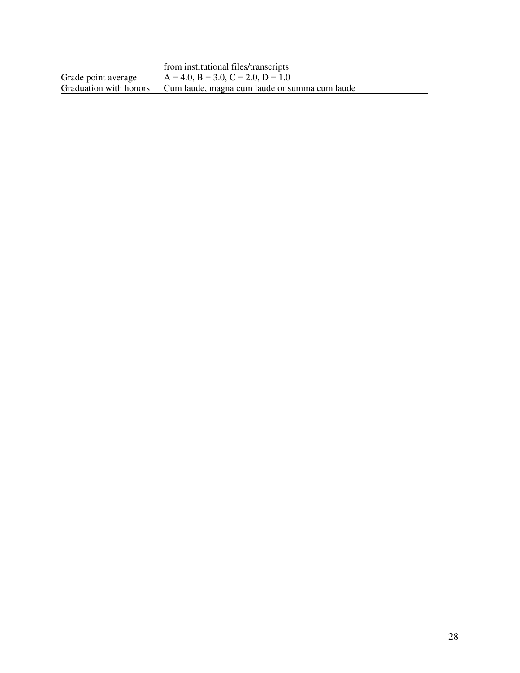|                        | from institutional files/transcripts          |
|------------------------|-----------------------------------------------|
| Grade point average    | $A = 4.0, B = 3.0, C = 2.0, D = 1.0$          |
| Graduation with honors | Cum laude, magna cum laude or summa cum laude |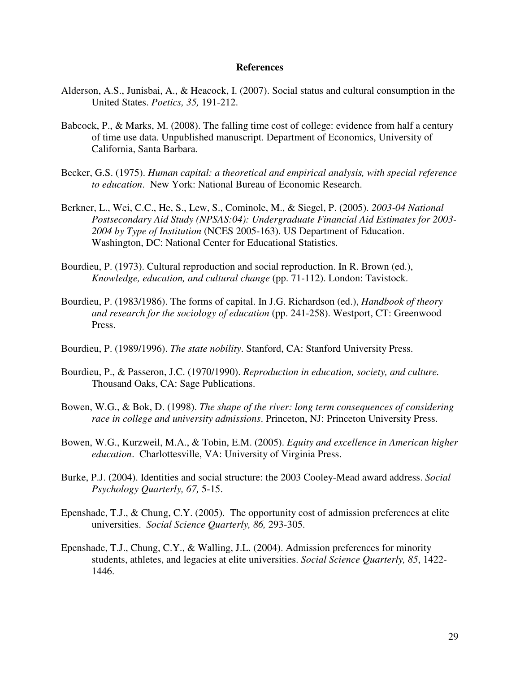#### **References**

- Alderson, A.S., Junisbai, A., & Heacock, I. (2007). Social status and cultural consumption in the United States. *Poetics, 35,* 191-212.
- Babcock, P., & Marks, M. (2008). The falling time cost of college: evidence from half a century of time use data. Unpublished manuscript. Department of Economics, University of California, Santa Barbara.
- Becker, G.S. (1975). *Human capital: a theoretical and empirical analysis, with special reference to education*. New York: National Bureau of Economic Research.
- Berkner, L., Wei, C.C., He, S., Lew, S., Cominole, M., & Siegel, P. (2005). *2003-04 National Postsecondary Aid Study (NPSAS:04): Undergraduate Financial Aid Estimates for 2003- 2004 by Type of Institution* (NCES 2005-163). US Department of Education. Washington, DC: National Center for Educational Statistics.
- Bourdieu, P. (1973). Cultural reproduction and social reproduction. In R. Brown (ed.), *Knowledge, education, and cultural change* (pp. 71-112). London: Tavistock.
- Bourdieu, P. (1983/1986). The forms of capital. In J.G. Richardson (ed.), *Handbook of theory and research for the sociology of education* (pp. 241-258). Westport, CT: Greenwood Press.
- Bourdieu, P. (1989/1996). *The state nobility*. Stanford, CA: Stanford University Press.
- Bourdieu, P., & Passeron, J.C. (1970/1990). *Reproduction in education, society, and culture.* Thousand Oaks, CA: Sage Publications.
- Bowen, W.G., & Bok, D. (1998). *The shape of the river: long term consequences of considering race in college and university admissions*. Princeton, NJ: Princeton University Press.
- Bowen, W.G., Kurzweil, M.A., & Tobin, E.M. (2005). *Equity and excellence in American higher education*. Charlottesville, VA: University of Virginia Press.
- Burke, P.J. (2004). Identities and social structure: the 2003 Cooley-Mead award address. *Social Psychology Quarterly, 67,* 5-15.
- Epenshade, T.J., & Chung, C.Y. (2005). The opportunity cost of admission preferences at elite universities. *Social Science Quarterly, 86,* 293-305.
- Epenshade, T.J., Chung, C.Y., & Walling, J.L. (2004). Admission preferences for minority students, athletes, and legacies at elite universities. *Social Science Quarterly, 85*, 1422- 1446.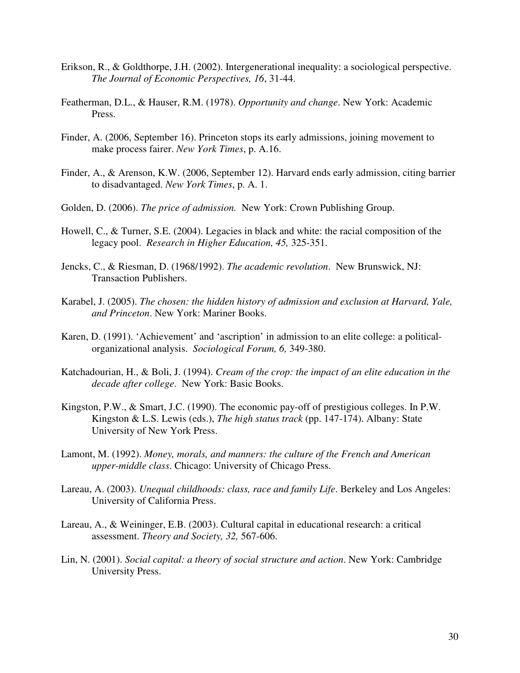- Erikson, R., & Goldthorpe, J.H. (2002). Intergenerational inequality: a sociological perspective. *The Journal of Economic Perspectives, 16*, 31-44.
- Featherman, D.L., & Hauser, R.M. (1978). *Opportunity and change*. New York: Academic Press.
- Finder, A. (2006, September 16). Princeton stops its early admissions, joining movement to make process fairer. *New York Times*, p. A.16.
- Finder, A., & Arenson, K.W. (2006, September 12). Harvard ends early admission, citing barrier to disadvantaged. *New York Times*, p. A. 1.
- Golden, D. (2006). *The price of admission.* New York: Crown Publishing Group.
- Howell, C., & Turner, S.E. (2004). Legacies in black and white: the racial composition of the legacy pool. *Research in Higher Education, 45,* 325-351.
- Jencks, C., & Riesman, D. (1968/1992). *The academic revolution*. New Brunswick, NJ: Transaction Publishers.
- Karabel, J. (2005). *The chosen: the hidden history of admission and exclusion at Harvard, Yale, and Princeton*. New York: Mariner Books.
- Karen, D. (1991). 'Achievement' and 'ascription' in admission to an elite college: a politicalorganizational analysis. *Sociological Forum, 6,* 349-380.
- Katchadourian, H., & Boli, J. (1994). *Cream of the crop: the impact of an elite education in the decade after college*. New York: Basic Books.
- Kingston, P.W., & Smart, J.C. (1990). The economic pay-off of prestigious colleges. In P.W. Kingston & L.S. Lewis (eds.), *The high status track* (pp. 147-174). Albany: State University of New York Press.
- Lamont, M. (1992). *Money, morals, and manners: the culture of the French and American upper-middle class*. Chicago: University of Chicago Press.
- Lareau, A. (2003). *Unequal childhoods: class, race and family Life*. Berkeley and Los Angeles: University of California Press.
- Lareau, A., & Weininger, E.B. (2003). Cultural capital in educational research: a critical assessment. *Theory and Society, 32,* 567-606.
- Lin, N. (2001). *Social capital: a theory of social structure and action*. New York: Cambridge University Press.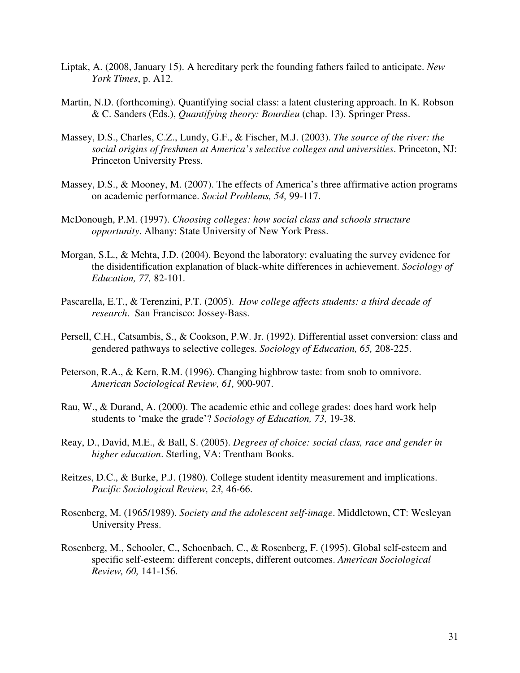- Liptak, A. (2008, January 15). A hereditary perk the founding fathers failed to anticipate. *New York Times*, p. A12.
- Martin, N.D. (forthcoming). Quantifying social class: a latent clustering approach. In K. Robson & C. Sanders (Eds.), *Quantifying theory: Bourdieu* (chap. 13). Springer Press.
- Massey, D.S., Charles, C.Z., Lundy, G.F., & Fischer, M.J. (2003). *The source of the river: the social origins of freshmen at America's selective colleges and universities*. Princeton, NJ: Princeton University Press.
- Massey, D.S., & Mooney, M. (2007). The effects of America's three affirmative action programs on academic performance. *Social Problems, 54,* 99-117.
- McDonough, P.M. (1997). *Choosing colleges: how social class and schools structure opportunity*. Albany: State University of New York Press.
- Morgan, S.L., & Mehta, J.D. (2004). Beyond the laboratory: evaluating the survey evidence for the disidentification explanation of black-white differences in achievement. *Sociology of Education, 77,* 82-101.
- Pascarella, E.T., & Terenzini, P.T. (2005). *How college affects students: a third decade of research*. San Francisco: Jossey-Bass.
- Persell, C.H., Catsambis, S., & Cookson, P.W. Jr. (1992). Differential asset conversion: class and gendered pathways to selective colleges. *Sociology of Education, 65,* 208-225.
- Peterson, R.A., & Kern, R.M. (1996). Changing highbrow taste: from snob to omnivore. *American Sociological Review, 61,* 900-907.
- Rau, W., & Durand, A. (2000). The academic ethic and college grades: does hard work help students to 'make the grade'? *Sociology of Education, 73,* 19-38.
- Reay, D., David, M.E., & Ball, S. (2005). *Degrees of choice: social class, race and gender in higher education*. Sterling, VA: Trentham Books.
- Reitzes, D.C., & Burke, P.J. (1980). College student identity measurement and implications. *Pacific Sociological Review, 23,* 46-66.
- Rosenberg, M. (1965/1989). *Society and the adolescent self-image*. Middletown, CT: Wesleyan University Press.
- Rosenberg, M., Schooler, C., Schoenbach, C., & Rosenberg, F. (1995). Global self-esteem and specific self-esteem: different concepts, different outcomes. *American Sociological Review, 60,* 141-156.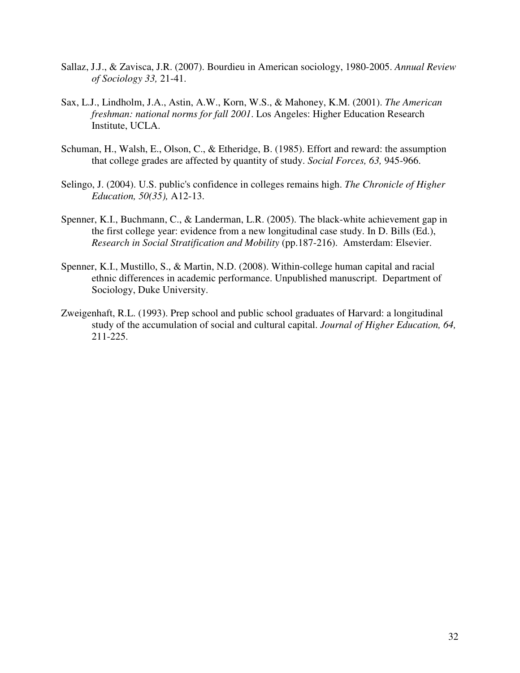- Sallaz, J.J., & Zavisca, J.R. (2007). Bourdieu in American sociology, 1980-2005. *Annual Review of Sociology 33,* 21-41.
- Sax, L.J., Lindholm, J.A., Astin, A.W., Korn, W.S., & Mahoney, K.M. (2001). *The American freshman: national norms for fall 2001*. Los Angeles: Higher Education Research Institute, UCLA.
- Schuman, H., Walsh, E., Olson, C., & Etheridge, B. (1985). Effort and reward: the assumption that college grades are affected by quantity of study. *Social Forces, 63,* 945-966.
- Selingo, J. (2004). U.S. public's confidence in colleges remains high. *The Chronicle of Higher Education, 50(35),* A12-13.
- Spenner, K.I., Buchmann, C., & Landerman, L.R. (2005). The black-white achievement gap in the first college year: evidence from a new longitudinal case study. In D. Bills (Ed.), *Research in Social Stratification and Mobility* (pp.187-216). Amsterdam: Elsevier.
- Spenner, K.I., Mustillo, S., & Martin, N.D. (2008). Within-college human capital and racial ethnic differences in academic performance. Unpublished manuscript. Department of Sociology, Duke University.
- Zweigenhaft, R.L. (1993). Prep school and public school graduates of Harvard: a longitudinal study of the accumulation of social and cultural capital. *Journal of Higher Education, 64,* 211-225.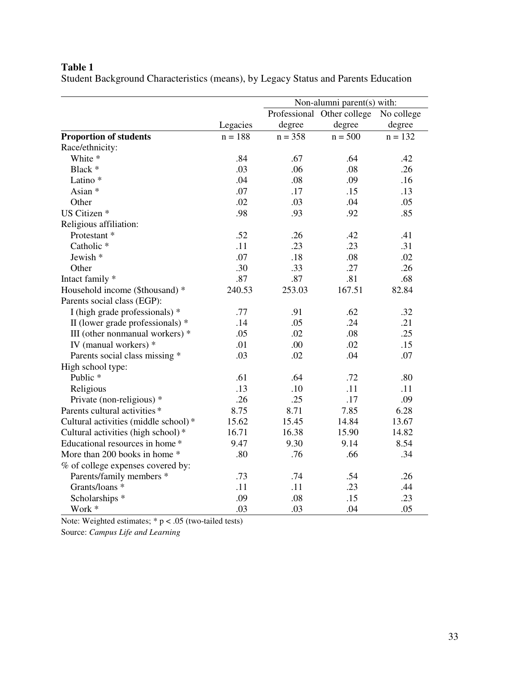Student Background Characteristics (means), by Legacy Status and Parents Education

|                                      |           | Non-alumni parent(s) with: |           |            |
|--------------------------------------|-----------|----------------------------|-----------|------------|
|                                      |           | Professional Other college |           | No college |
|                                      | Legacies  | degree                     | degree    | degree     |
| <b>Proportion of students</b>        | $n = 188$ | $n = 358$                  | $n = 500$ | $n = 132$  |
| Race/ethnicity:                      |           |                            |           |            |
| White *                              | .84       | .67                        | .64       | .42        |
| Black *                              | .03       | .06                        | .08       | .26        |
| Latino*                              | .04       | .08                        | .09       | .16        |
| Asian *                              | .07       | .17                        | .15       | .13        |
| Other                                | .02       | .03                        | .04       | .05        |
| US Citizen *                         | .98       | .93                        | .92       | .85        |
| Religious affiliation:               |           |                            |           |            |
| Protestant <sup>*</sup>              | .52       | .26                        | .42       | .41        |
| Catholic <sup>*</sup>                | .11       | .23                        | .23       | .31        |
| Jewish *                             | .07       | .18                        | .08       | .02        |
| Other                                | .30       | .33                        | .27       | .26        |
| Intact family *                      | .87       | .87                        | .81       | .68        |
| Household income (\$thousand) *      | 240.53    | 253.03                     | 167.51    | 82.84      |
| Parents social class (EGP):          |           |                            |           |            |
| I (high grade professionals) *       | .77       | .91                        | .62       | .32        |
| II (lower grade professionals) *     | .14       | .05                        | .24       | .21        |
| III (other nonmanual workers) *      | .05       | .02                        | .08       | .25        |
| IV (manual workers) *                | .01       | .00                        | .02       | .15        |
| Parents social class missing *       | .03       | .02                        | .04       | .07        |
| High school type:                    |           |                            |           |            |
| Public <sup>*</sup>                  | .61       | .64                        | .72       | .80        |
| Religious                            | .13       | .10                        | .11       | .11        |
| Private (non-religious) *            | .26       | .25                        | .17       | .09        |
| Parents cultural activities *        | 8.75      | 8.71                       | 7.85      | 6.28       |
| Cultural activities (middle school)* | 15.62     | 15.45                      | 14.84     | 13.67      |
| Cultural activities (high school)*   | 16.71     | 16.38                      | 15.90     | 14.82      |
| Educational resources in home *      | 9.47      | 9.30                       | 9.14      | 8.54       |
| More than 200 books in home *        | .80       | .76                        | .66       | .34        |
| % of college expenses covered by:    |           |                            |           |            |
| Parents/family members *             | .73       | .74                        | .54       | .26        |
| Grants/loans *                       | .11       | .11                        | .23       | .44        |
| Scholarships *                       | .09       | .08                        | .15       | .23        |
| Work *                               | .03       | .03                        | .04       | .05        |

Note: Weighted estimates;  $* p < .05$  (two-tailed tests) Source: *Campus Life and Learning*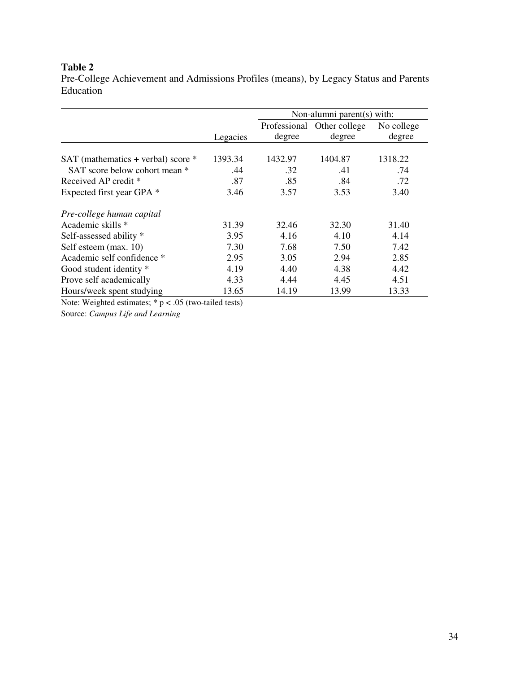Pre-College Achievement and Admissions Profiles (means), by Legacy Status and Parents Education

|                                    |          | Non-alumni parent(s) with: |                            |            |
|------------------------------------|----------|----------------------------|----------------------------|------------|
|                                    |          |                            | Professional Other college | No college |
|                                    | Legacies | degree                     | degree                     | degree     |
|                                    |          |                            |                            |            |
| SAT (mathematics + verbal) score * | 1393.34  | 1432.97                    | 1404.87                    | 1318.22    |
| SAT score below cohort mean *      | .44      | .32                        | .41                        | .74        |
| Received AP credit *               | .87      | .85                        | .84                        | .72        |
| Expected first year GPA *          | 3.46     | 3.57                       | 3.53                       | 3.40       |
| Pre-college human capital          |          |                            |                            |            |
| Academic skills *                  | 31.39    | 32.46                      | 32.30                      | 31.40      |
| Self-assessed ability *            | 3.95     | 4.16                       | 4.10                       | 4.14       |
| Self esteem (max. 10)              | 7.30     | 7.68                       | 7.50                       | 7.42       |
| Academic self confidence *         | 2.95     | 3.05                       | 2.94                       | 2.85       |
| Good student identity *            | 4.19     | 4.40                       | 4.38                       | 4.42       |
| Prove self academically            | 4.33     | 4.44                       | 4.45                       | 4.51       |
| Hours/week spent studying          | 13.65    | 14.19                      | 13.99                      | 13.33      |

Note: Weighted estimates;  $* p < .05$  (two-tailed tests) Source: *Campus Life and Learning*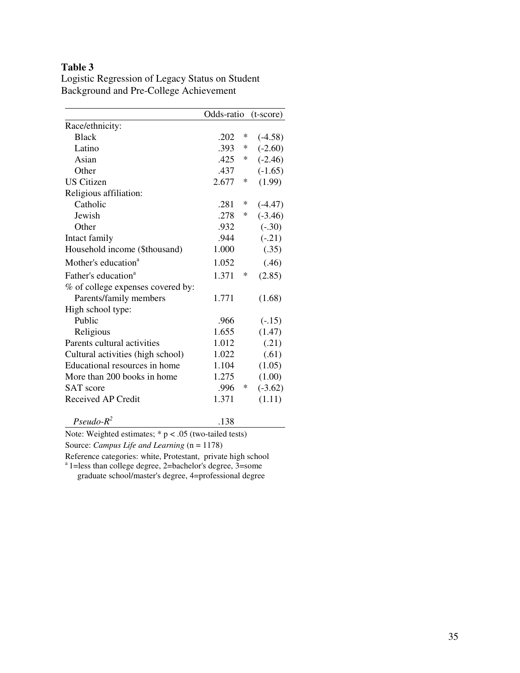|                                   | Odds-ratio |   | $(t-score)$ |
|-----------------------------------|------------|---|-------------|
| Race/ethnicity:                   |            |   |             |
| <b>Black</b>                      | .202       | ∗ | $(-4.58)$   |
| Latino                            | .393       | ∗ | $(-2.60)$   |
| Asian                             | .425       | ∗ | $(-2.46)$   |
| Other                             | .437       |   | $(-1.65)$   |
| <b>US Citizen</b>                 | 2.677      | ∗ | (1.99)      |
| Religious affiliation:            |            |   |             |
| Catholic                          | .281       | * | $(-4.47)$   |
| <b>Jewish</b>                     | .278       | ∗ | $(-3.46)$   |
| Other                             | .932       |   | $(-.30)$    |
| Intact family                     | .944       |   | $(-.21)$    |
| Household income (\$thousand)     | 1.000      |   | (.35)       |
| Mother's education <sup>a</sup>   | 1.052      |   | (.46)       |
| Father's education <sup>a</sup>   | 1.371      | ∗ | (2.85)      |
| % of college expenses covered by: |            |   |             |
| Parents/family members            | 1.771      |   | (1.68)      |
| High school type:                 |            |   |             |
| Public                            | .966       |   | $(-.15)$    |
| Religious                         | 1.655      |   | (1.47)      |
| Parents cultural activities       | 1.012      |   | (.21)       |
| Cultural activities (high school) | 1.022      |   | (.61)       |
| Educational resources in home     | 1.104      |   | (1.05)      |
| More than 200 books in home       | 1.275      |   | (1.00)      |
| <b>SAT</b> score                  | .996       | ∗ | $(-3.62)$   |
| Received AP Credit                | 1.371      |   | (1.11)      |
| $Pseudo-R^2$                      | .138       |   |             |

Logistic Regression of Legacy Status on Student Background and Pre-College Achievement

Note: Weighted estimates;  $* p < .05$  (two-tailed tests)

Source: *Campus Life and Learning* (n = 1178)

Reference categories: white, Protestant, private high school

<sup>a</sup> 1=less than college degree, 2=bachelor's degree, 3=some graduate school/master's degree, 4=professional degree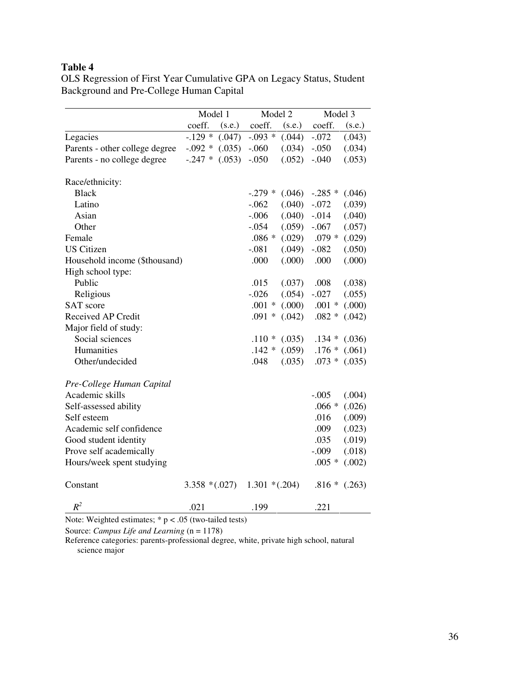OLS Regression of First Year Cumulative GPA on Legacy Status, Student Background and Pre-College Human Capital

|                                | Model 1          |        | Model 2          |        | Model 3   |        |
|--------------------------------|------------------|--------|------------------|--------|-----------|--------|
|                                | coeff.           | (s.e.) | coeff.           | (s.e.) | coeff.    | (s.e.) |
| Legacies                       | $-.129*$         | (.047) | $-.093$ *        | (.044) | $-.072$   | (.043) |
| Parents - other college degree | $-.092$ *        | (.035) | $-.060$          | (.034) | $-.050$   | (.034) |
| Parents - no college degree    | $-.247$ *        | (.053) | $-.050$          | (.052) | $-.040$   | (.053) |
| Race/ethnicity:                |                  |        |                  |        |           |        |
| <b>Black</b>                   |                  |        | $-.279$ *        | (.046) | $-.285$ * | (.046) |
| Latino                         |                  |        | $-.062$          | (.040) | $-.072$   | (.039) |
| Asian                          |                  |        | $-.006$          | (.040) | $-0.014$  | (.040) |
| Other                          |                  |        | $-.054$          | (.059) | $-.067$   | (.057) |
| Female                         |                  |        | $.086*$          | (.029) | $.079*$   | (.029) |
| <b>US</b> Citizen              |                  |        | $-.081$          | (.049) | $-.082$   | (.050) |
| Household income (\$thousand)  |                  |        | .000             | (.000) | .000      | (.000) |
| High school type:              |                  |        |                  |        |           |        |
| Public                         |                  |        | .015             | (.037) | .008      | (.038) |
| Religious                      |                  |        | $-.026$          | (.054) | $-.027$   | (.055) |
| <b>SAT</b> score               |                  |        | $.001 *$         | (000)  | $.001 *$  | (.000) |
| Received AP Credit             |                  |        | $.091*$          | (.042) | $.082 *$  | (.042) |
| Major field of study:          |                  |        |                  |        |           |        |
| Social sciences                |                  |        | $.110*$          | (.035) | $.134*$   | (.036) |
| Humanities                     |                  |        | $.142*$          | (.059) | $.176*$   | (.061) |
| Other/undecided                |                  |        | .048             | (.035) | $.073*$   | (.035) |
| Pre-College Human Capital      |                  |        |                  |        |           |        |
| Academic skills                |                  |        |                  |        | $-.005$   | (.004) |
| Self-assessed ability          |                  |        |                  |        | $.066*$   | (.026) |
| Self esteem                    |                  |        |                  |        | .016      | (.009) |
| Academic self confidence       |                  |        |                  |        | .009      | (.023) |
| Good student identity          |                  |        |                  |        | .035      | (.019) |
| Prove self academically        |                  |        |                  |        | $-.009$   | (.018) |
| Hours/week spent studying      |                  |        |                  |        | $.005*$   | (.002) |
| Constant                       | $3.358 * (.027)$ |        | $1.301 * (.204)$ |        | $.816*$   | (.263) |
| $R^2$                          | .021             |        | .199             |        | .221      |        |

Note: Weighted estimates;  $* p < .05$  (two-tailed tests)

Source: *Campus Life and Learning* (n = 1178)

Reference categories: parents-professional degree, white, private high school, natural science major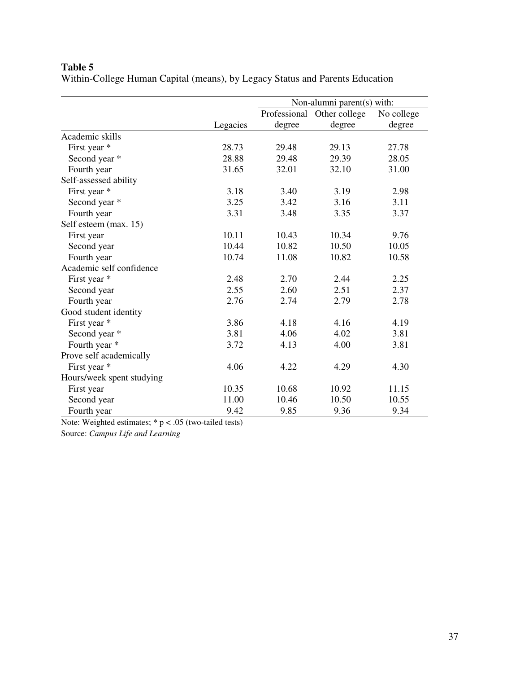Within-College Human Capital (means), by Legacy Status and Parents Education

|                           |          | Non-alumni parent(s) with: |               |            |
|---------------------------|----------|----------------------------|---------------|------------|
|                           |          | Professional               | Other college | No college |
|                           | Legacies | degree                     | degree        | degree     |
| Academic skills           |          |                            |               |            |
| First year *              | 28.73    | 29.48                      | 29.13         | 27.78      |
| Second year *             | 28.88    | 29.48                      | 29.39         | 28.05      |
| Fourth year               | 31.65    | 32.01                      | 32.10         | 31.00      |
| Self-assessed ability     |          |                            |               |            |
| First year *              | 3.18     | 3.40                       | 3.19          | 2.98       |
| Second year *             | 3.25     | 3.42                       | 3.16          | 3.11       |
| Fourth year               | 3.31     | 3.48                       | 3.35          | 3.37       |
| Self esteem (max. 15)     |          |                            |               |            |
| First year                | 10.11    | 10.43                      | 10.34         | 9.76       |
| Second year               | 10.44    | 10.82                      | 10.50         | 10.05      |
| Fourth year               | 10.74    | 11.08                      | 10.82         | 10.58      |
| Academic self confidence  |          |                            |               |            |
| First year *              | 2.48     | 2.70                       | 2.44          | 2.25       |
| Second year               | 2.55     | 2.60                       | 2.51          | 2.37       |
| Fourth year               | 2.76     | 2.74                       | 2.79          | 2.78       |
| Good student identity     |          |                            |               |            |
| First year *              | 3.86     | 4.18                       | 4.16          | 4.19       |
| Second year *             | 3.81     | 4.06                       | 4.02          | 3.81       |
| Fourth year *             | 3.72     | 4.13                       | 4.00          | 3.81       |
| Prove self academically   |          |                            |               |            |
| First year *              | 4.06     | 4.22                       | 4.29          | 4.30       |
| Hours/week spent studying |          |                            |               |            |
| First year                | 10.35    | 10.68                      | 10.92         | 11.15      |
| Second year               | 11.00    | 10.46                      | 10.50         | 10.55      |
| Fourth year               | 9.42     | 9.85                       | 9.36          | 9.34       |

Note: Weighted estimates;  $* p < .05$  (two-tailed tests)

Source: *Campus Life and Learning*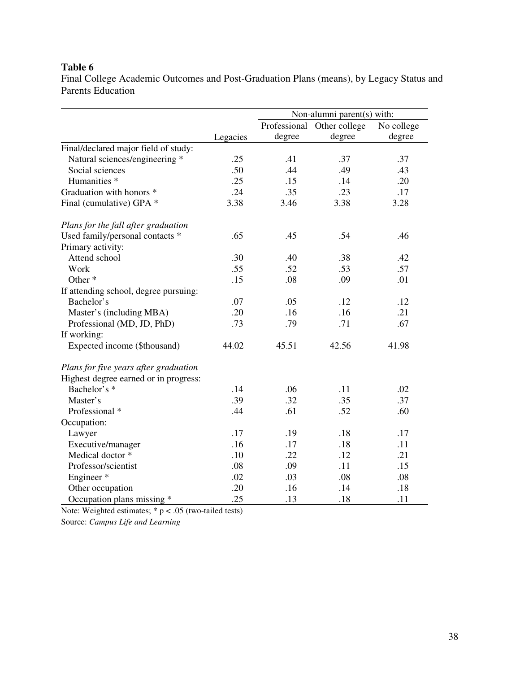Final College Academic Outcomes and Post-Graduation Plans (means), by Legacy Status and Parents Education

|                                       |          | Non-alumni parent(s) with: |                            |            |
|---------------------------------------|----------|----------------------------|----------------------------|------------|
|                                       |          |                            | Professional Other college | No college |
|                                       | Legacies | degree                     | degree                     | degree     |
| Final/declared major field of study:  |          |                            |                            |            |
| Natural sciences/engineering *        | .25      | .41                        | .37                        | .37        |
| Social sciences                       | .50      | .44                        | .49                        | .43        |
| Humanities <sup>*</sup>               | .25      | .15                        | .14                        | .20        |
| Graduation with honors *              | .24      | .35                        | .23                        | .17        |
| Final (cumulative) GPA *              | 3.38     | 3.46                       | 3.38                       | 3.28       |
| Plans for the fall after graduation   |          |                            |                            |            |
| Used family/personal contacts *       | .65      | .45                        | .54                        | .46        |
| Primary activity:                     |          |                            |                            |            |
| Attend school                         | .30      | .40                        | .38                        | .42        |
| Work                                  | .55      | .52                        | .53                        | .57        |
| Other <sup>*</sup>                    | .15      | .08                        | .09                        | .01        |
| If attending school, degree pursuing: |          |                            |                            |            |
| Bachelor's                            | .07      | .05                        | .12                        | .12        |
| Master's (including MBA)              | .20      | .16                        | .16                        | .21        |
| Professional (MD, JD, PhD)            | .73      | .79                        | .71                        | .67        |
| If working:                           |          |                            |                            |            |
| Expected income (\$thousand)          | 44.02    | 45.51                      | 42.56                      | 41.98      |
| Plans for five years after graduation |          |                            |                            |            |
| Highest degree earned or in progress: |          |                            |                            |            |
| Bachelor's *                          | .14      | .06                        | .11                        | .02        |
| Master's                              | .39      | .32                        | .35                        | .37        |
| Professional *                        | .44      | .61                        | .52                        | .60        |
| Occupation:                           |          |                            |                            |            |
| Lawyer                                | .17      | .19                        | .18                        | .17        |
| Executive/manager                     | .16      | .17                        | .18                        | .11        |
| Medical doctor *                      | .10      | .22                        | .12                        | .21        |
| Professor/scientist                   | .08      | .09                        | .11                        | .15        |
| Engineer*                             | .02      | .03                        | .08                        | .08        |
| Other occupation                      | .20      | .16                        | .14                        | .18        |
| Occupation plans missing *            | .25      | .13                        | .18                        | .11        |

Note: Weighted estimates;  $* p < .05$  (two-tailed tests)

Source: *Campus Life and Learning*